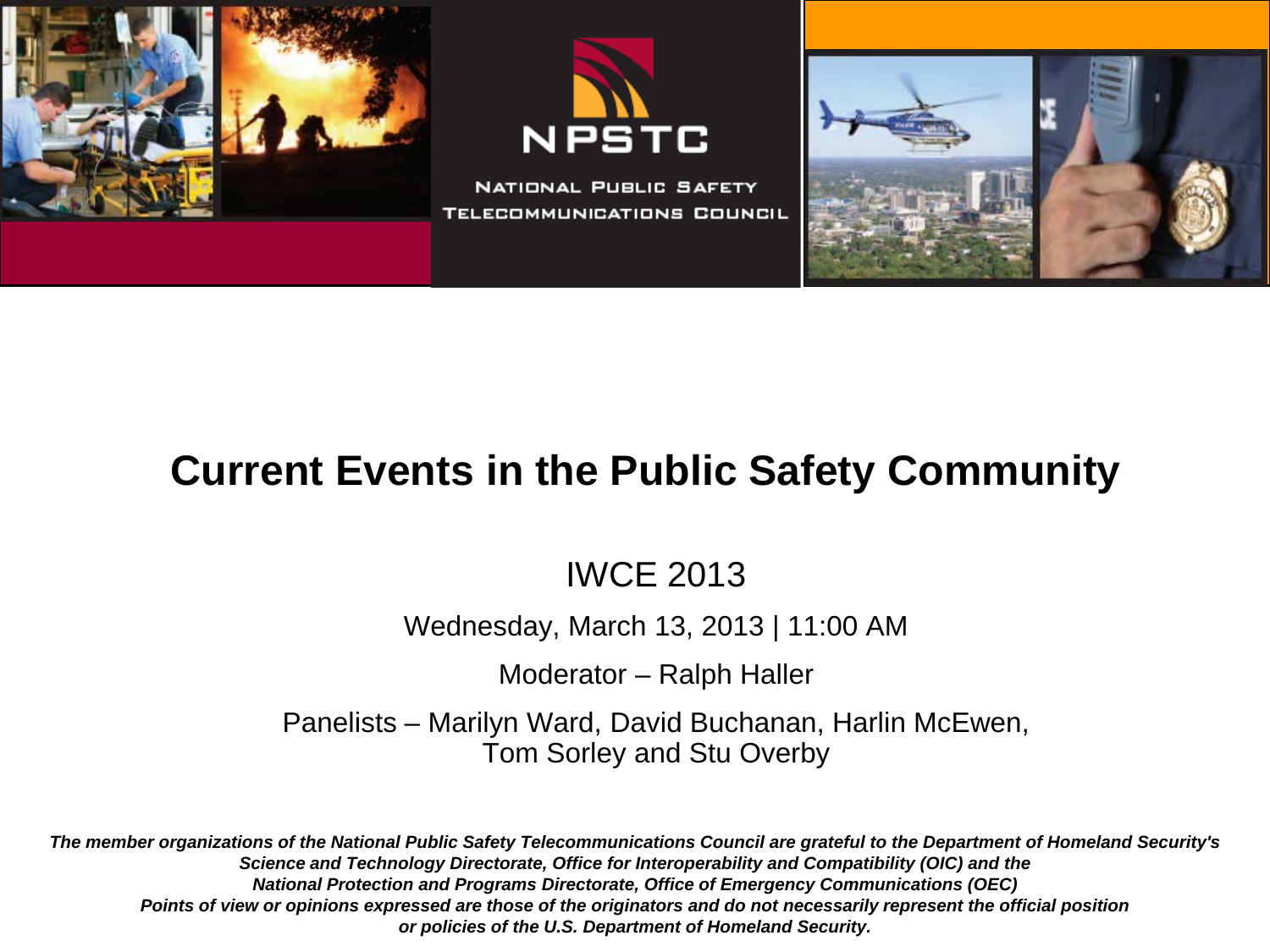





## **Current Events in the Public Safety Community**

#### IWCE 2013

Wednesday, March 13, 2013 | 11:00 AM

Moderator – Ralph Haller

Panelists – Marilyn Ward, David Buchanan, Harlin McEwen, Tom Sorley and Stu Overby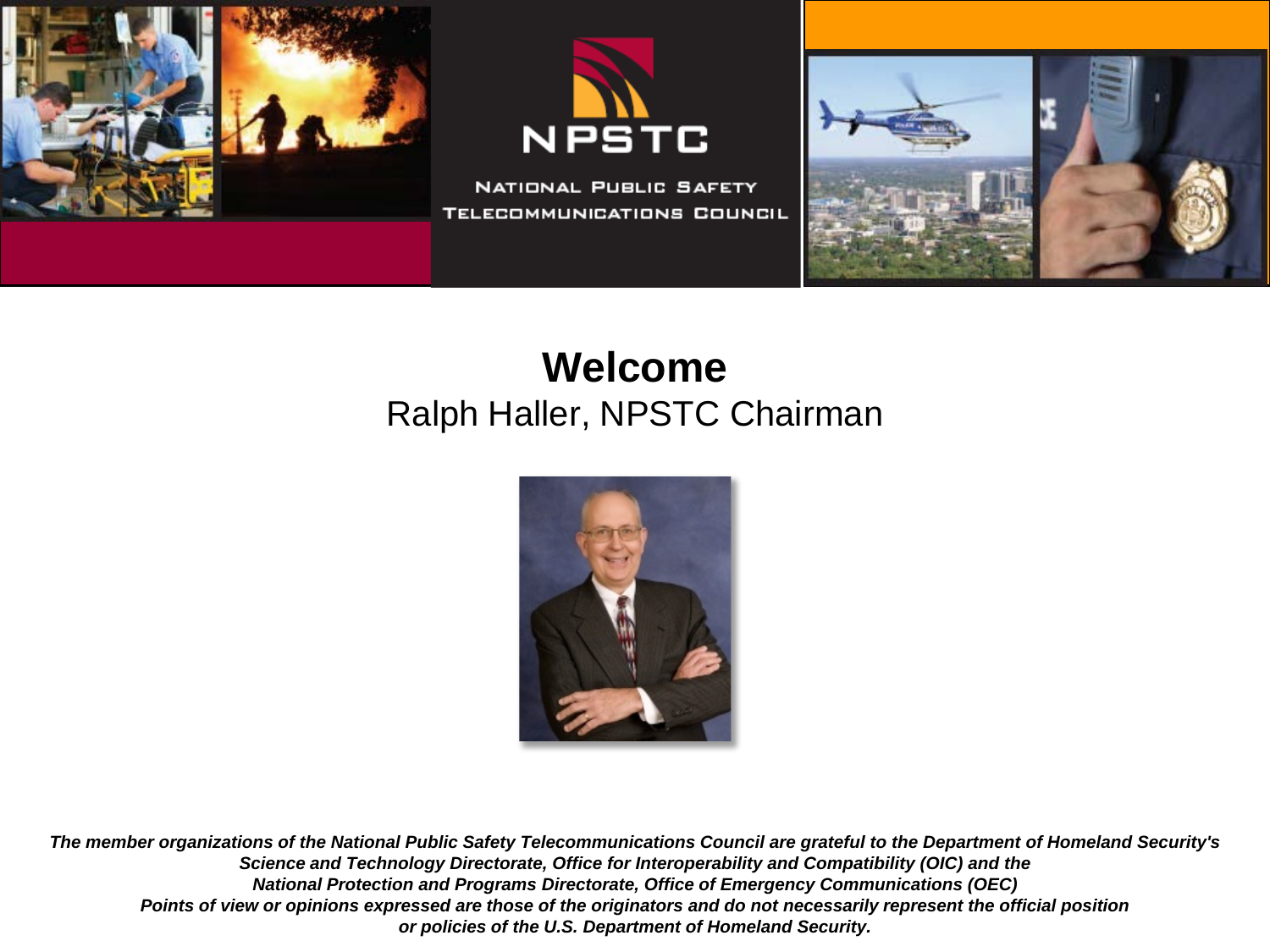





#### **Welcome** Ralph Haller, NPSTC Chairman

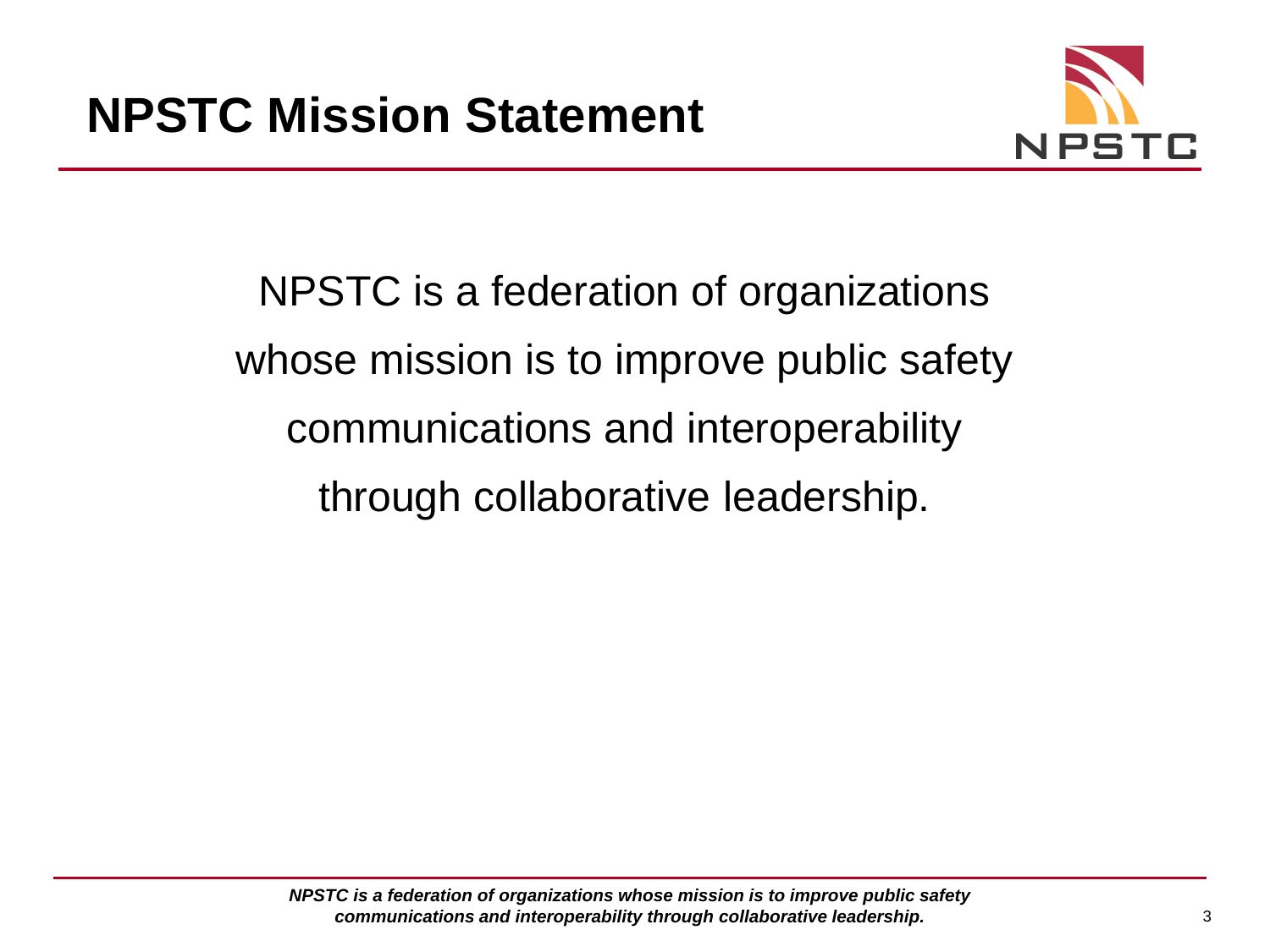

NPSTC is a federation of organizations whose mission is to improve public safety communications and interoperability through collaborative leadership.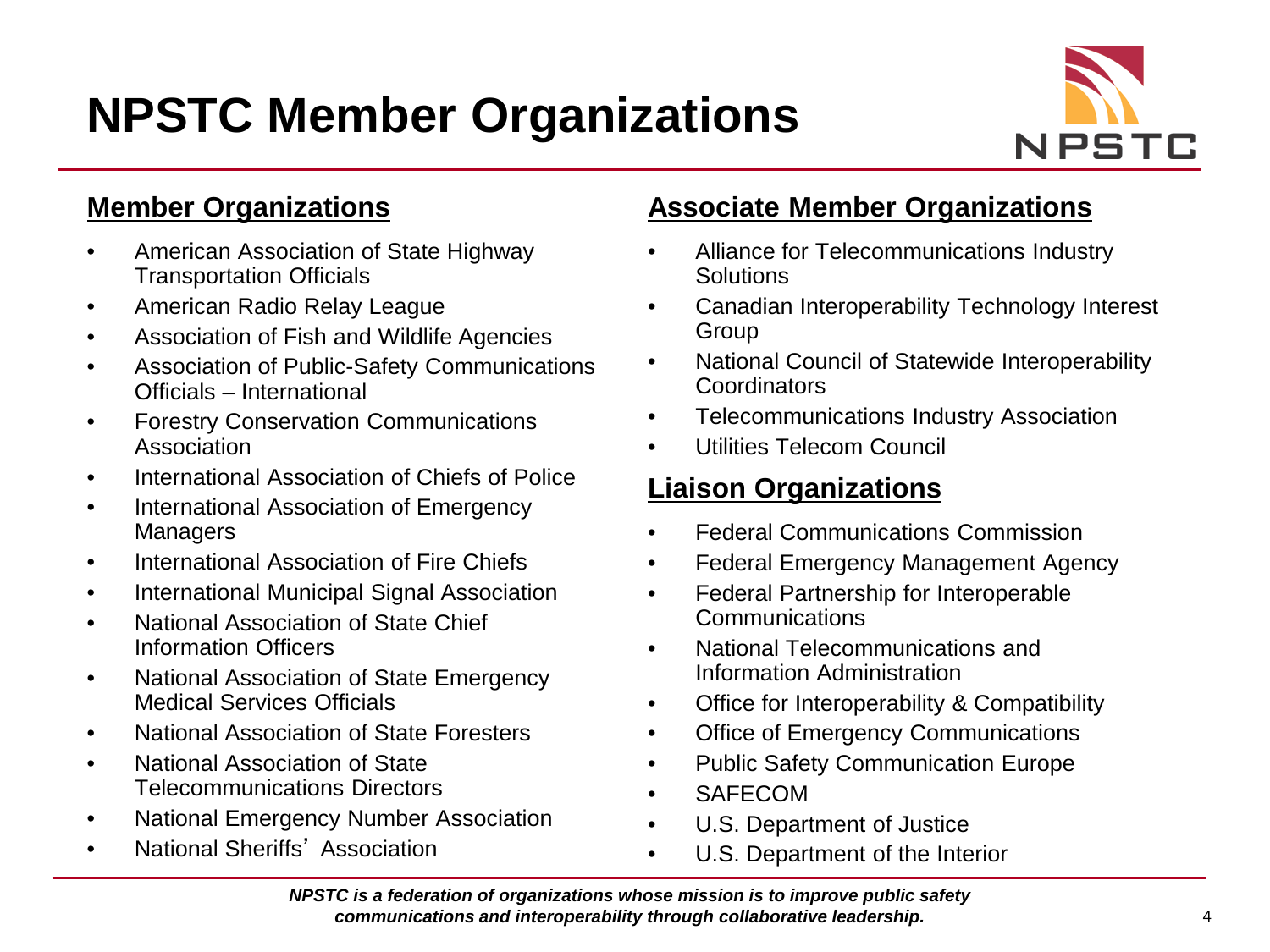# **NPSTC Member Organizations**



#### **Member Organizations**

- American Association of State Highway Transportation Officials
- American Radio Relay League
- Association of Fish and Wildlife Agencies
- Association of Public-Safety Communications Officials – International
- Forestry Conservation Communications Association
- International Association of Chiefs of Police
- International Association of Emergency **Managers**
- International Association of Fire Chiefs
- International Municipal Signal Association
- National Association of State Chief Information Officers
- National Association of State Emergency Medical Services Officials
- National Association of State Foresters
- National Association of State Telecommunications Directors
- National Emergency Number Association
- National Sheriffs' Association

#### **Associate Member Organizations**

- Alliance for Telecommunications Industry **Solutions**
- Canadian Interoperability Technology Interest Group
- National Council of Statewide Interoperability **Coordinators**
- Telecommunications Industry Association
- Utilities Telecom Council

#### **Liaison Organizations**

- Federal Communications Commission
- Federal Emergency Management Agency
- Federal Partnership for Interoperable **Communications**
- National Telecommunications and Information Administration
- Office for Interoperability & Compatibility
- Office of Emergency Communications
- Public Safety Communication Europe
- **SAFECOM**
- U.S. Department of Justice
- U.S. Department of the Interior

*NPSTC is a federation of organizations whose mission is to improve public safety communications and interoperability through collaborative leadership.* 4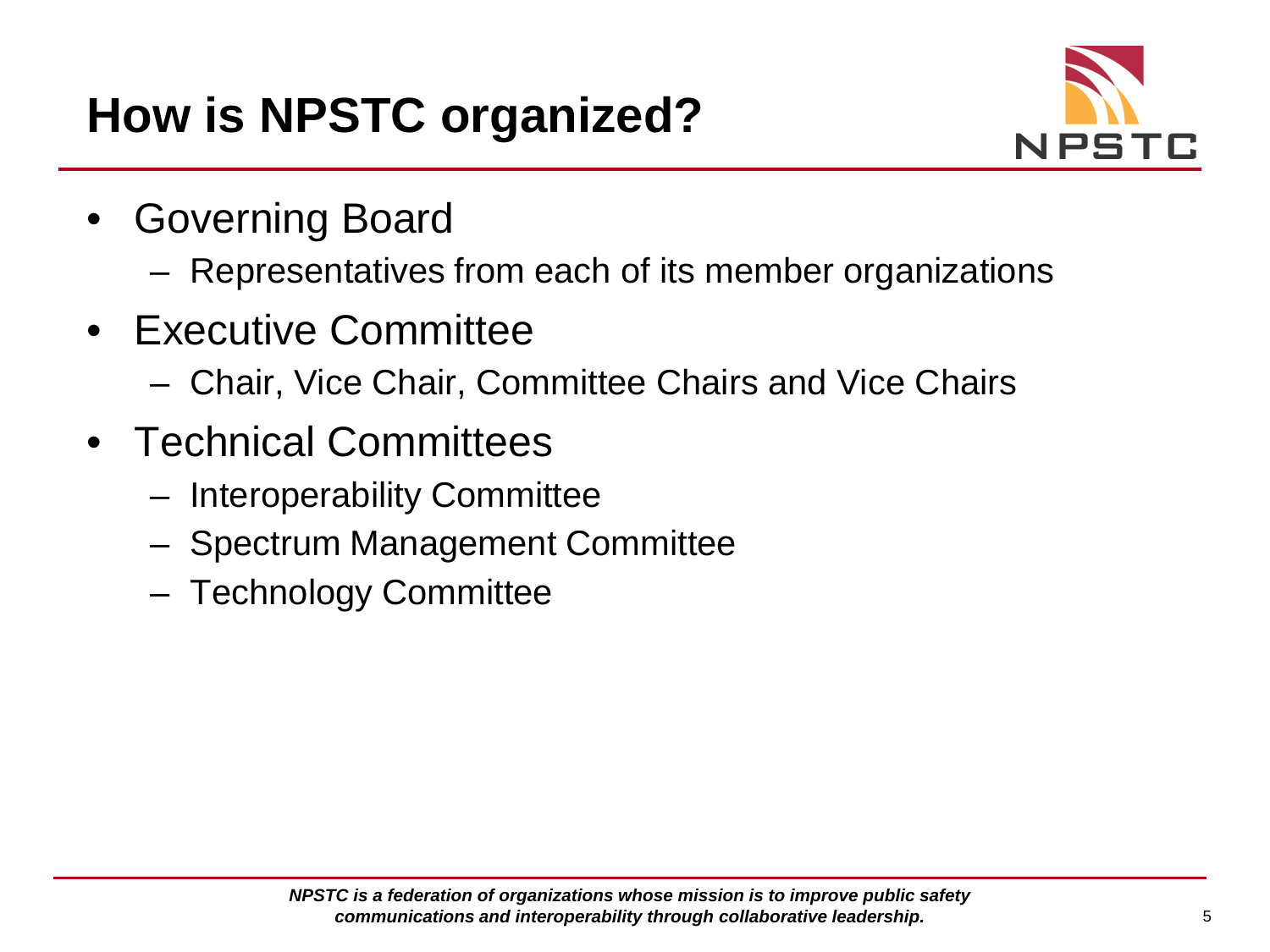

- Governing Board
	- Representatives from each of its member organizations
- Executive Committee
	- Chair, Vice Chair, Committee Chairs and Vice Chairs
- Technical Committees
	- Interoperability Committee
	- Spectrum Management Committee
	- Technology Committee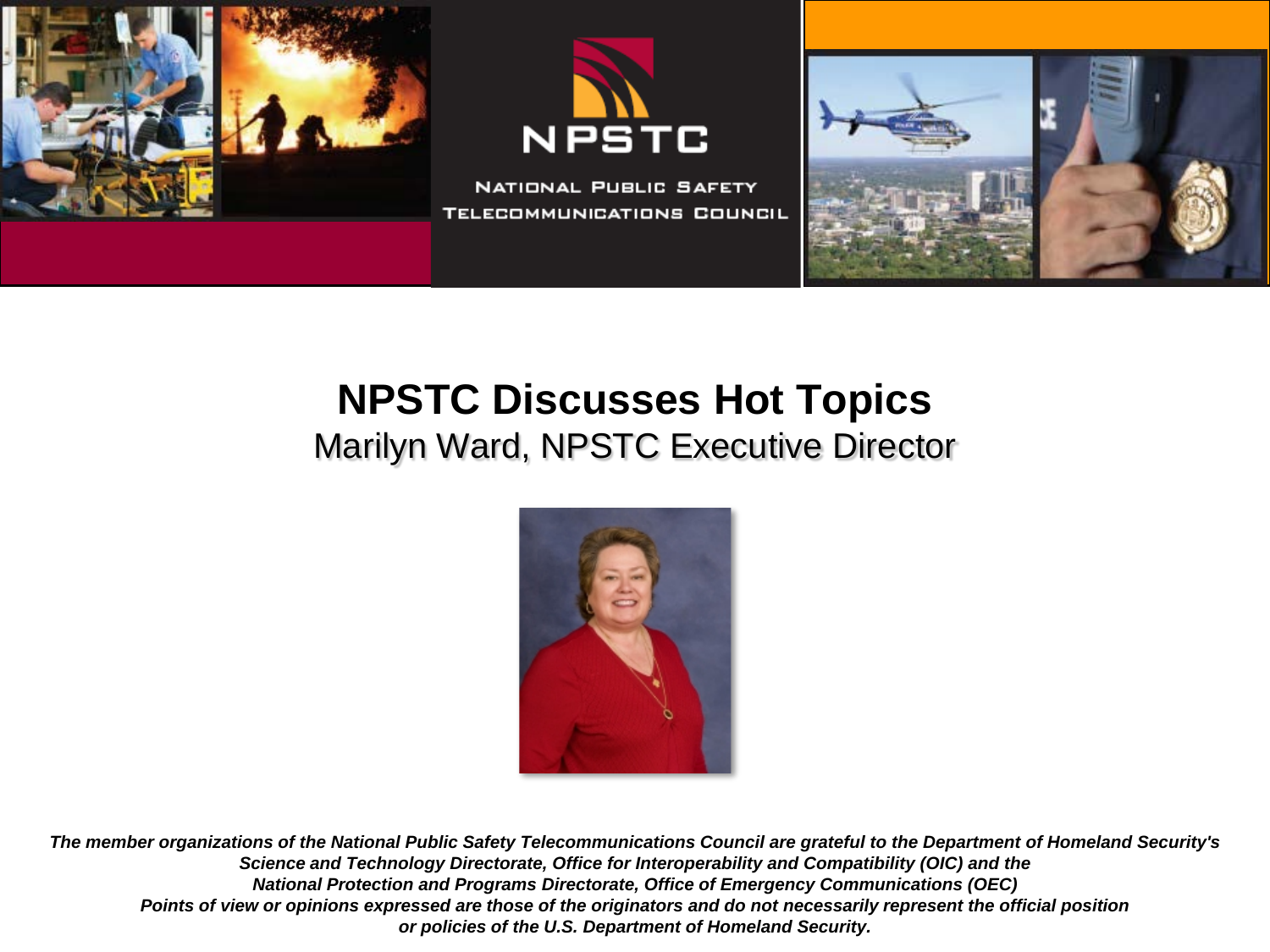





## **NPSTC Discusses Hot Topics** Marilyn Ward, NPSTC Executive Director

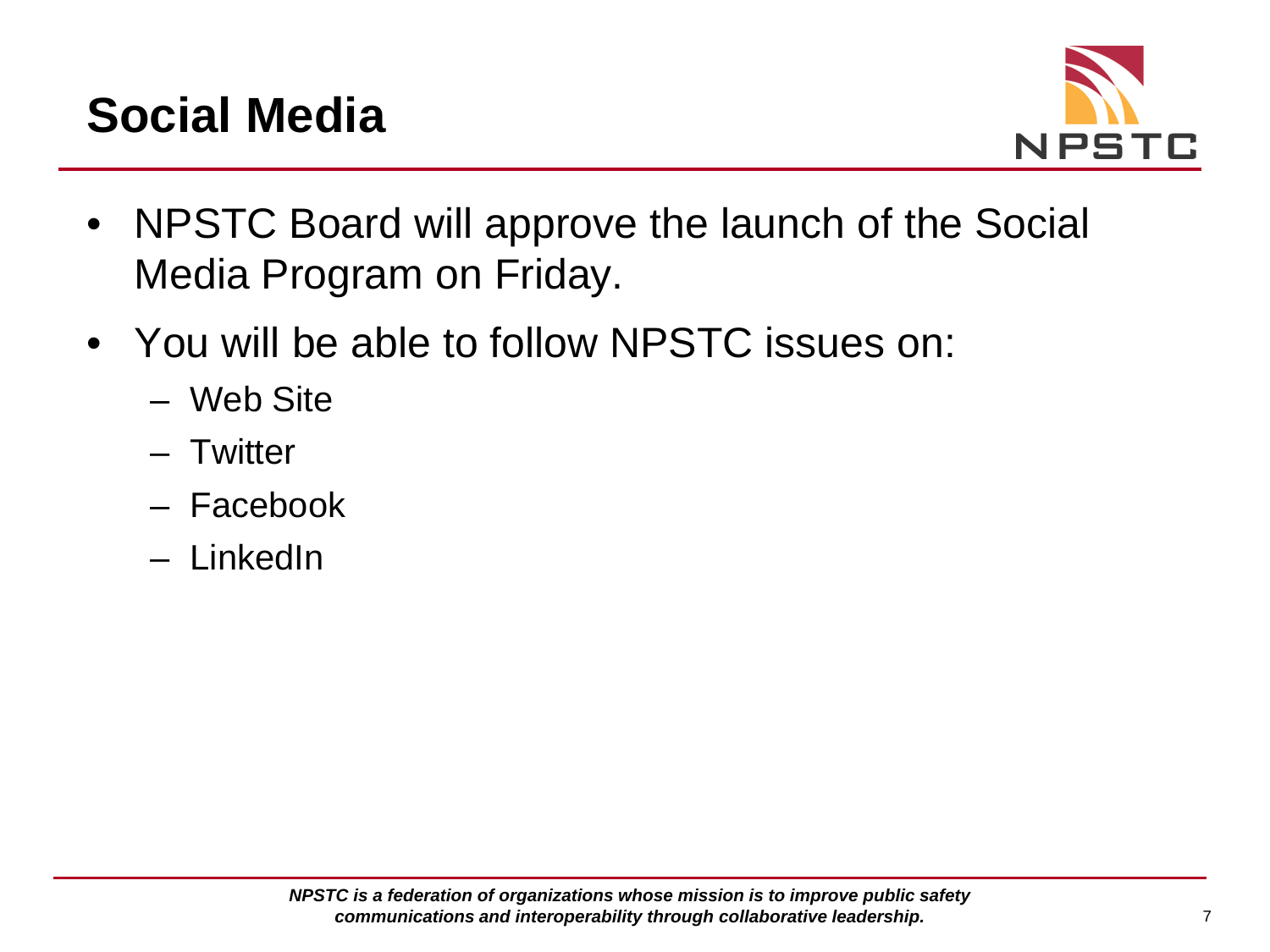# **Social Media**



- NPSTC Board will approve the launch of the Social Media Program on Friday.
- You will be able to follow NPSTC issues on:
	- Web Site
	- Twitter
	- Facebook
	- LinkedIn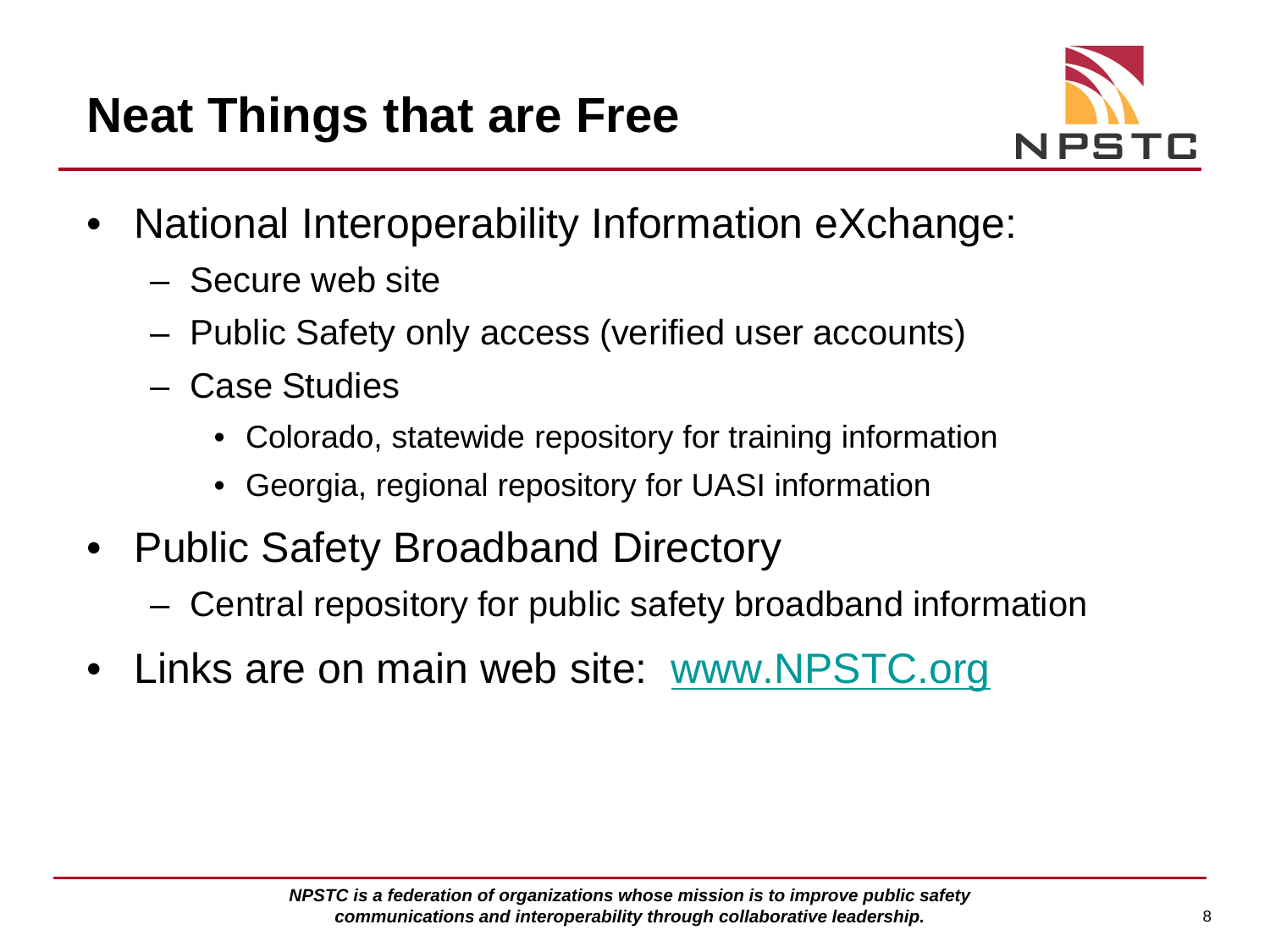

- National Interoperability Information eXchange:
	- Secure web site
	- Public Safety only access (verified user accounts)
	- Case Studies
		- Colorado, statewide repository for training information
		- Georgia, regional repository for UASI information
- Public Safety Broadband Directory
	- Central repository for public safety broadband information
- Links are on main web site: [www.NPSTC.org](http://www.NPSTC.org)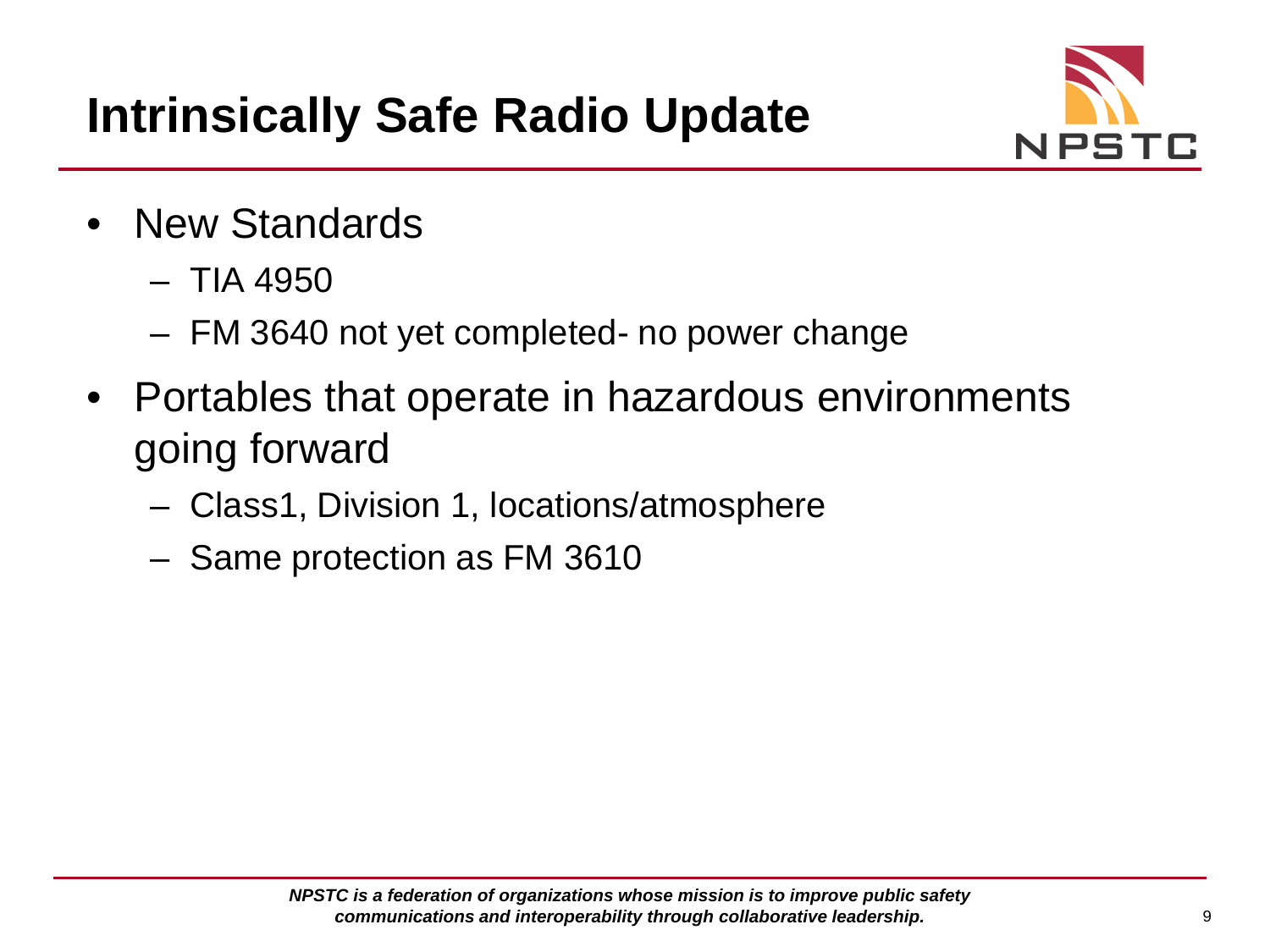

- New Standards
	- TIA 4950
	- FM 3640 not yet completed- no power change
- Portables that operate in hazardous environments going forward
	- Class1, Division 1, locations/atmosphere
	- Same protection as FM 3610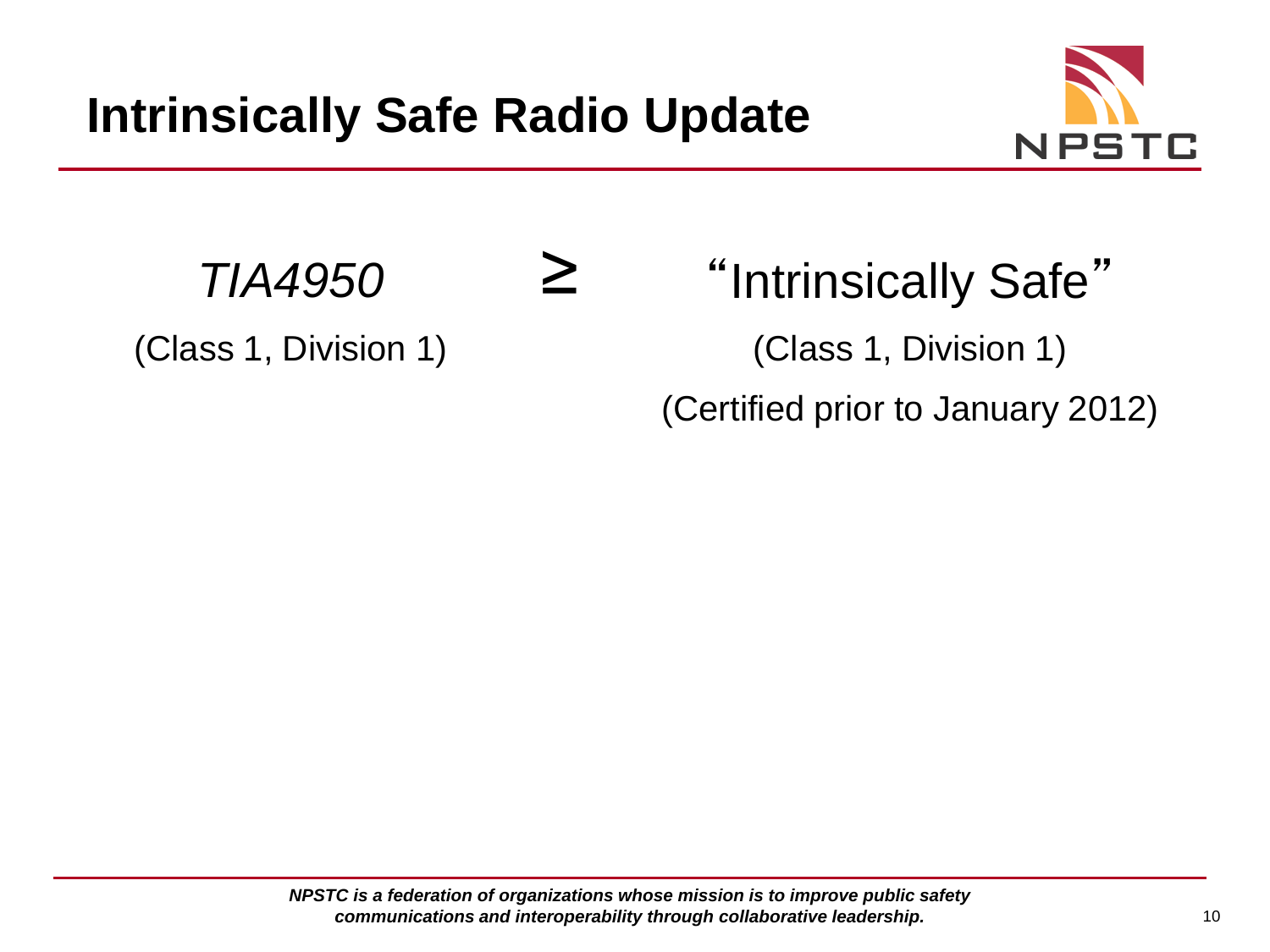≥



*TIA4950*

(Class 1, Division 1)

"Intrinsically Safe" (Class 1, Division 1) (Certified prior to January 2012)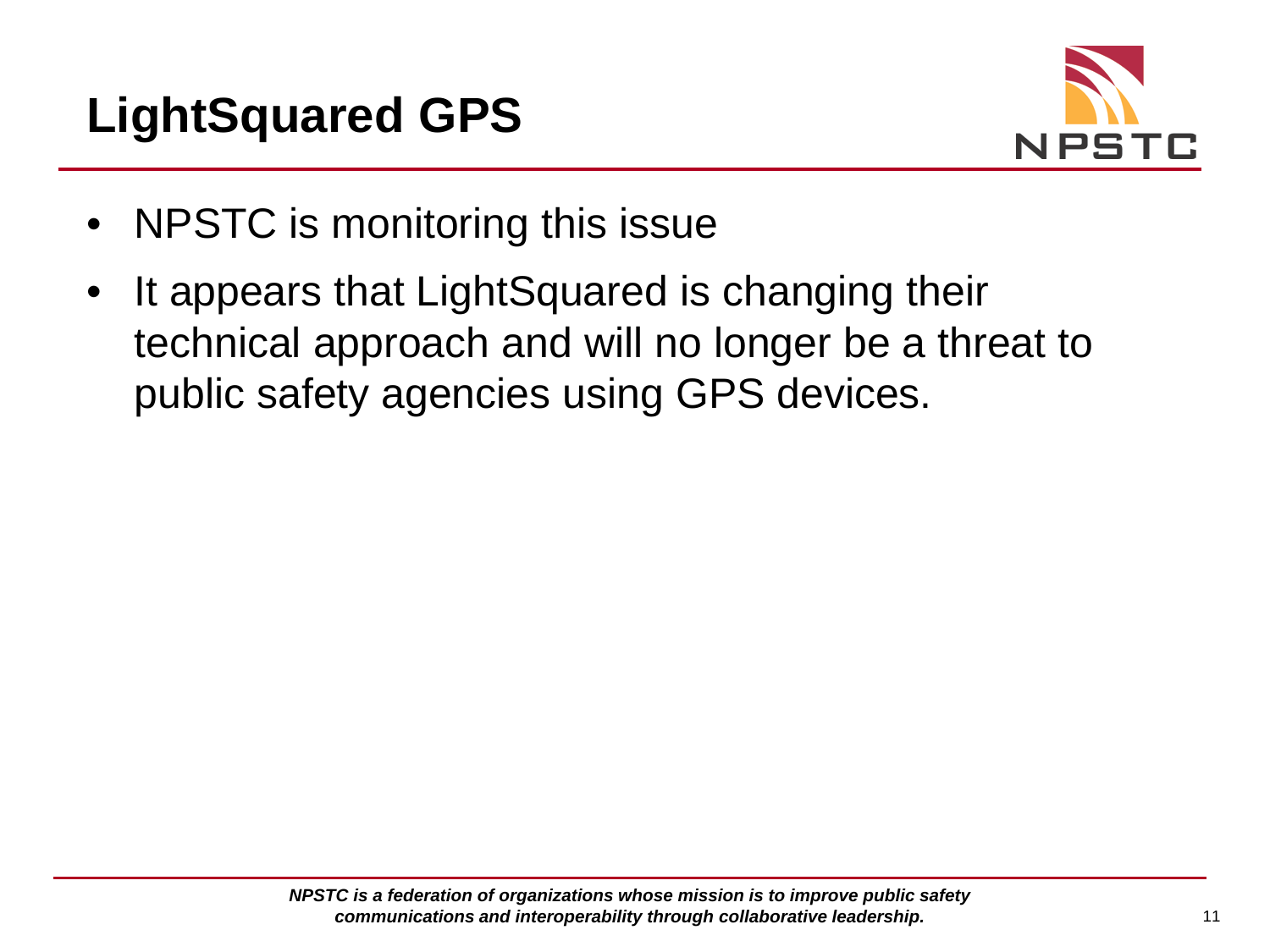



- NPSTC is monitoring this issue
- It appears that LightSquared is changing their technical approach and will no longer be a threat to public safety agencies using GPS devices.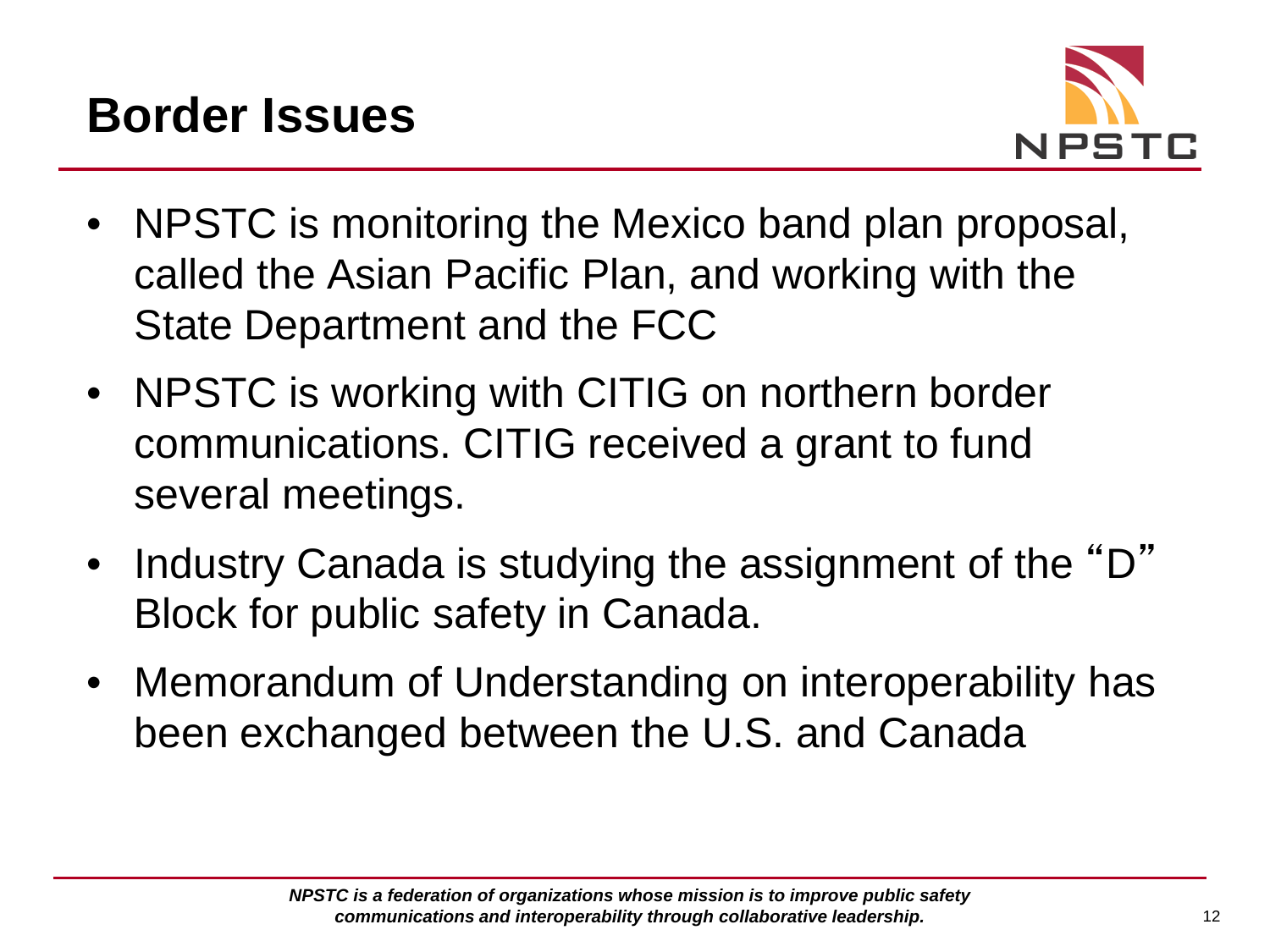

- NPSTC is monitoring the Mexico band plan proposal, called the Asian Pacific Plan, and working with the State Department and the FCC
- NPSTC is working with CITIG on northern border communications. CITIG received a grant to fund several meetings.
- Industry Canada is studying the assignment of the "D" Block for public safety in Canada.
- Memorandum of Understanding on interoperability has been exchanged between the U.S. and Canada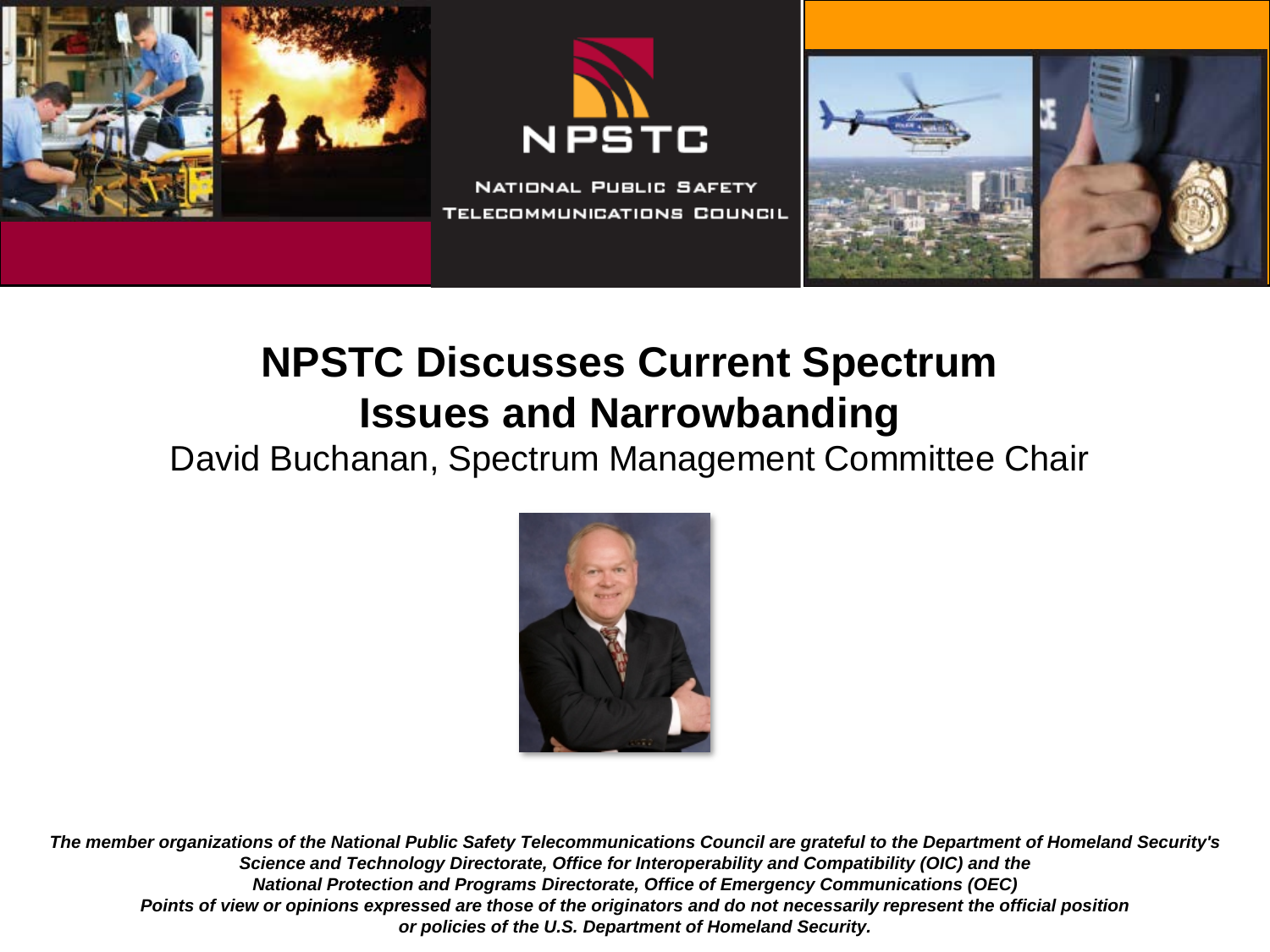





## **NPSTC Discusses Current Spectrum Issues and Narrowbanding**

David Buchanan, Spectrum Management Committee Chair

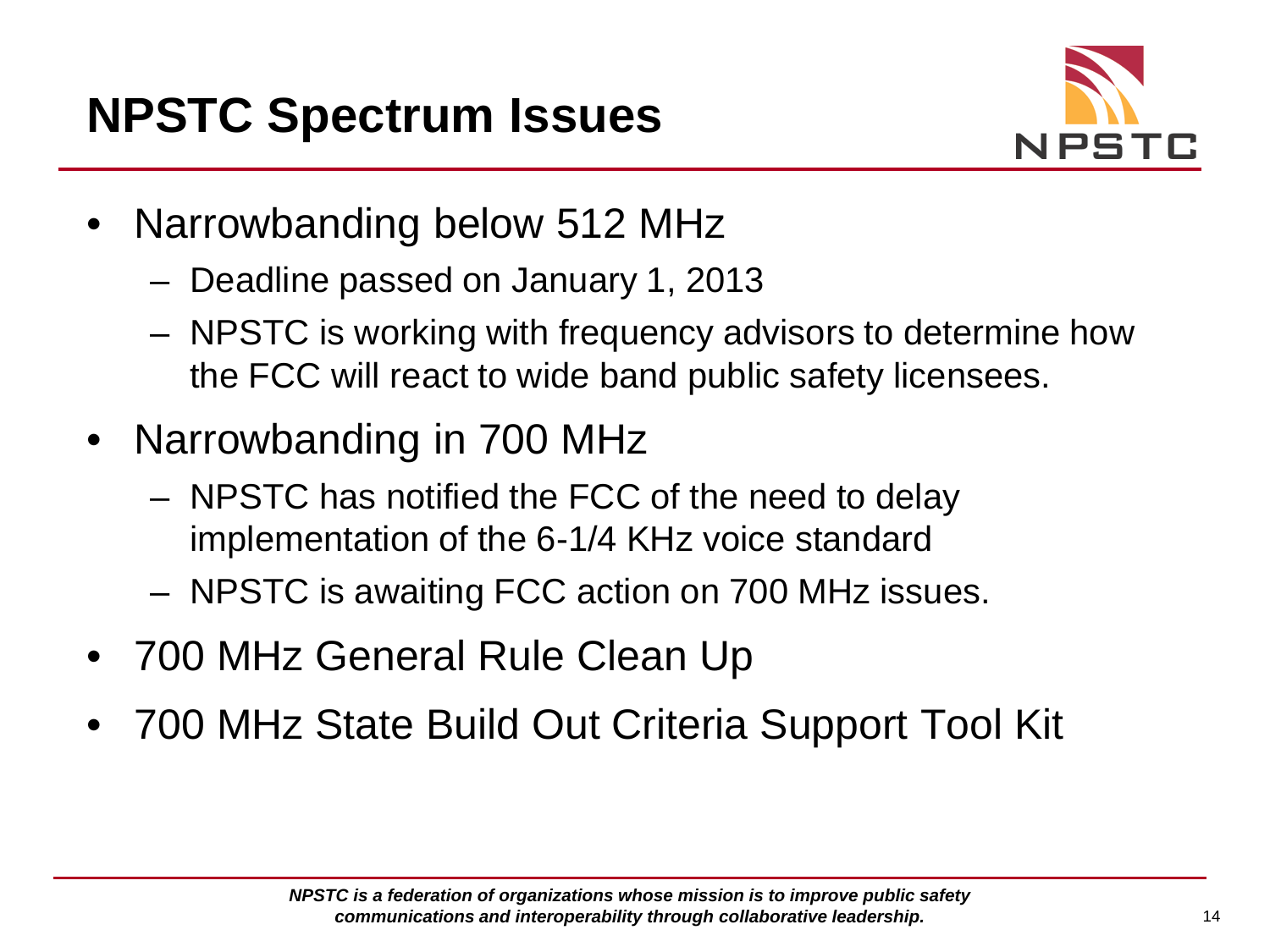

- Narrowbanding below 512 MHz
	- Deadline passed on January 1, 2013
	- NPSTC is working with frequency advisors to determine how the FCC will react to wide band public safety licensees.
- Narrowbanding in 700 MHz
	- NPSTC has notified the FCC of the need to delay implementation of the 6-1/4 KHz voice standard
	- NPSTC is awaiting FCC action on 700 MHz issues.
- 700 MHz General Rule Clean Up
- 700 MHz State Build Out Criteria Support Tool Kit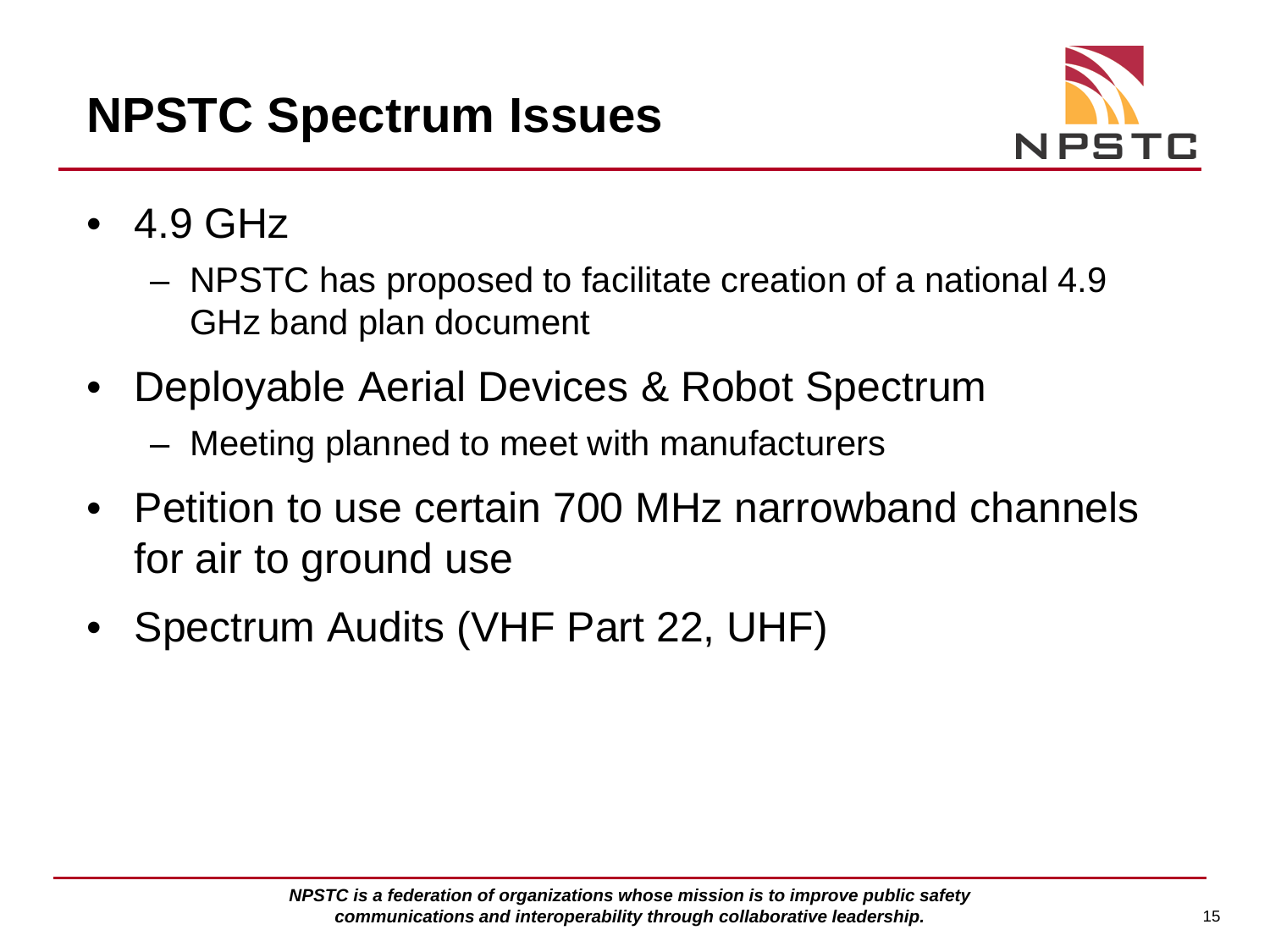

- 4.9 GHz
	- NPSTC has proposed to facilitate creation of a national 4.9 GHz band plan document
- Deployable Aerial Devices & Robot Spectrum
	- Meeting planned to meet with manufacturers
- Petition to use certain 700 MHz narrowband channels for air to ground use
- Spectrum Audits (VHF Part 22, UHF)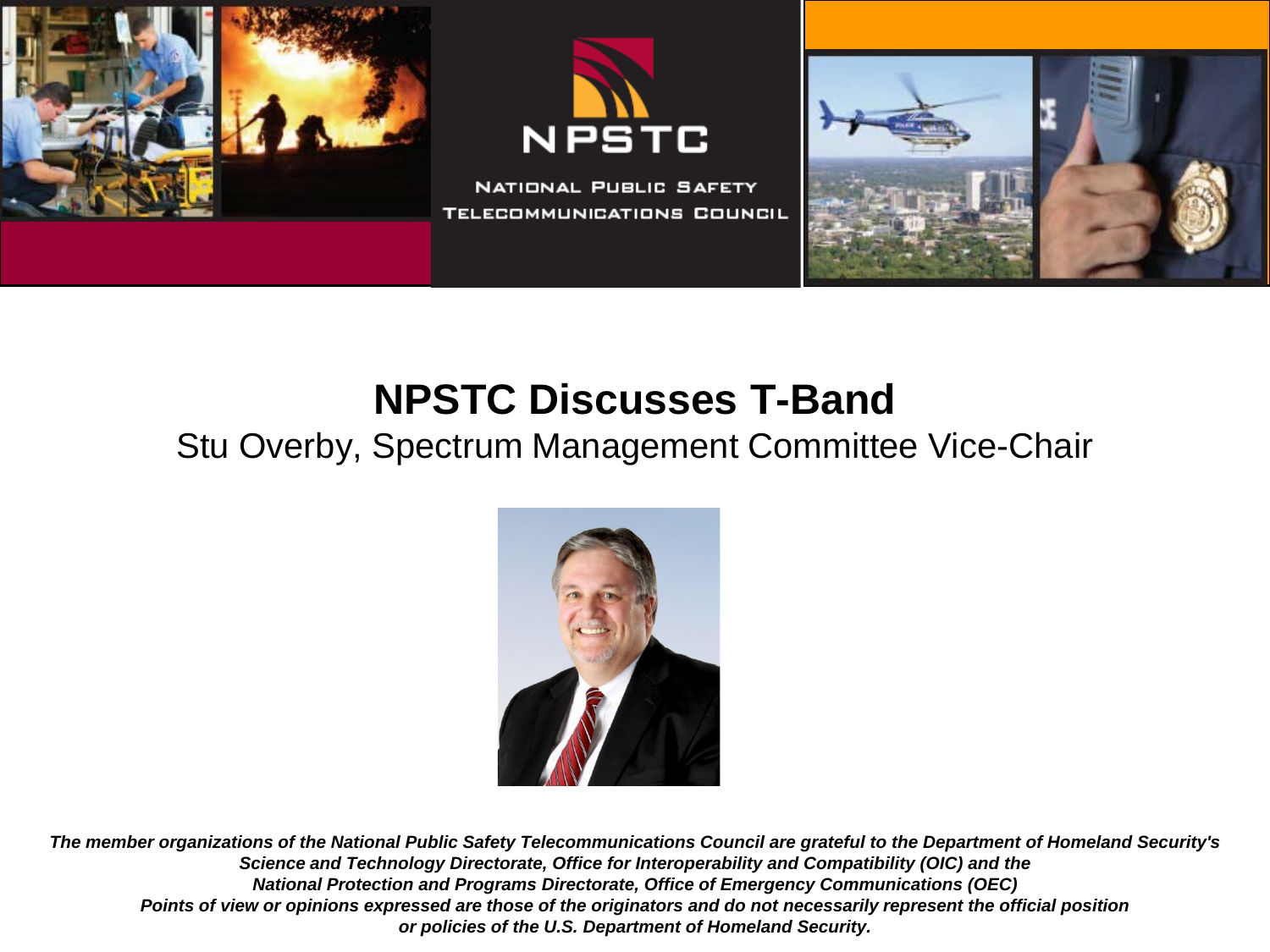

## **NPSTC Discusses T-Band**

#### Stu Overby, Spectrum Management Committee Vice-Chair

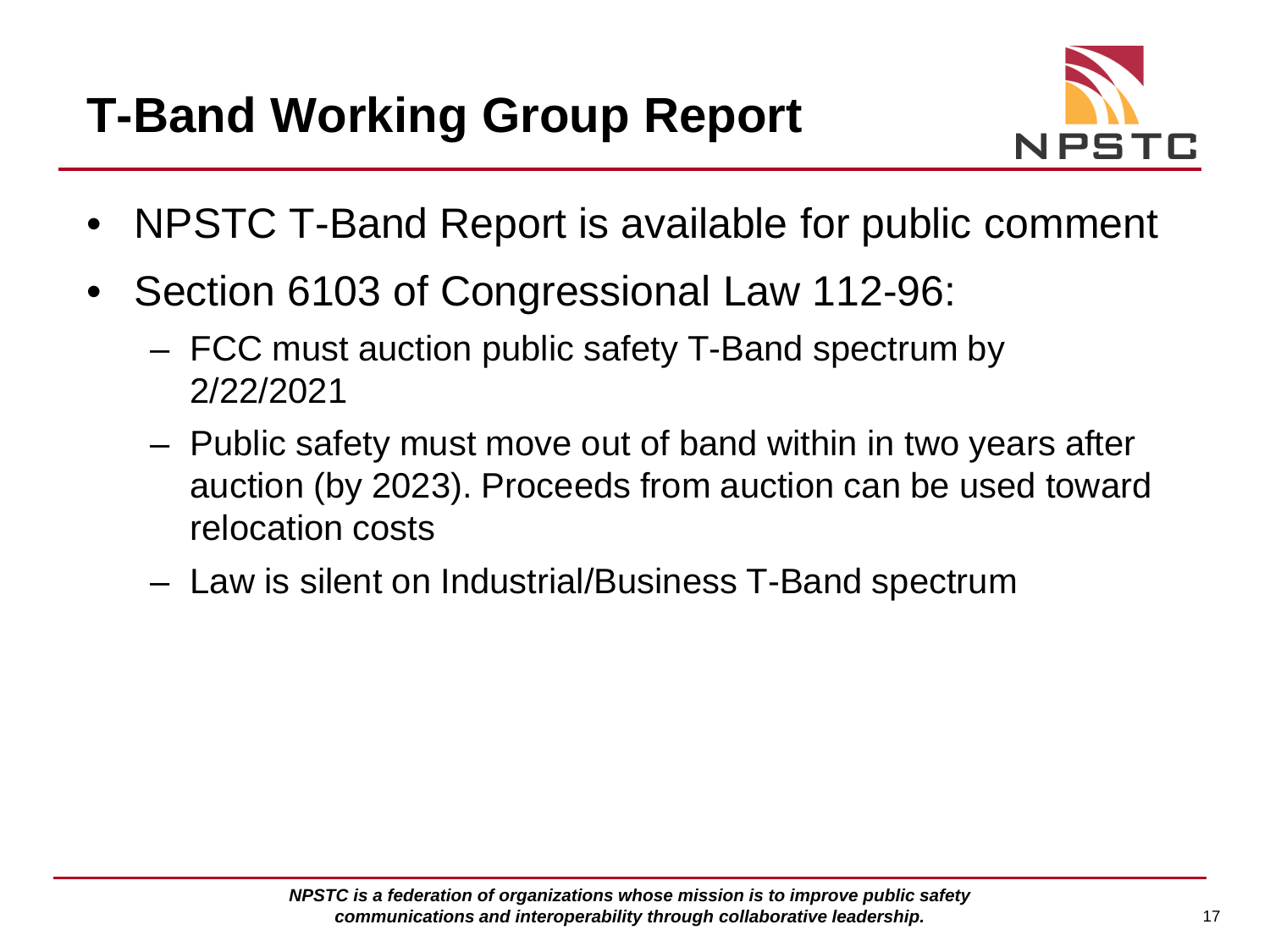

- NPSTC T-Band Report is available for public comment
- Section 6103 of Congressional Law 112-96:
	- FCC must auction public safety T-Band spectrum by 2/22/2021
	- Public safety must move out of band within in two years after auction (by 2023). Proceeds from auction can be used toward relocation costs
	- Law is silent on Industrial/Business T-Band spectrum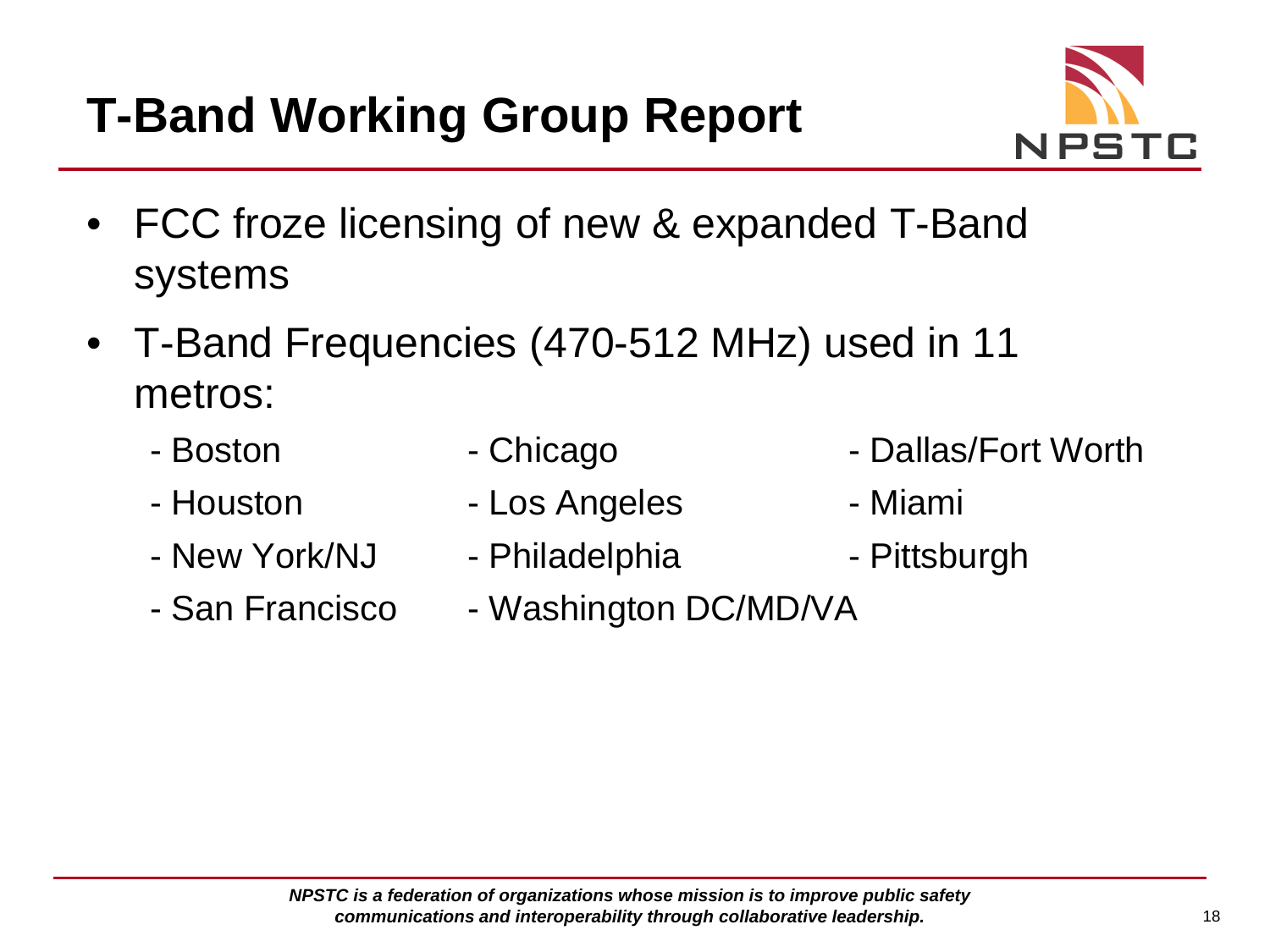

- FCC froze licensing of new & expanded T-Band systems
- T-Band Frequencies (470-512 MHz) used in 11 metros:
	-
	-
	- New York/NJ Philadelphia Pittsburgh
	-
- 
- Houston Los Angeles Miami
	-
- San Francisco Washington DC/MD/VA
- Boston Chicago Chicago Dallas/Fort Worth
	-
	-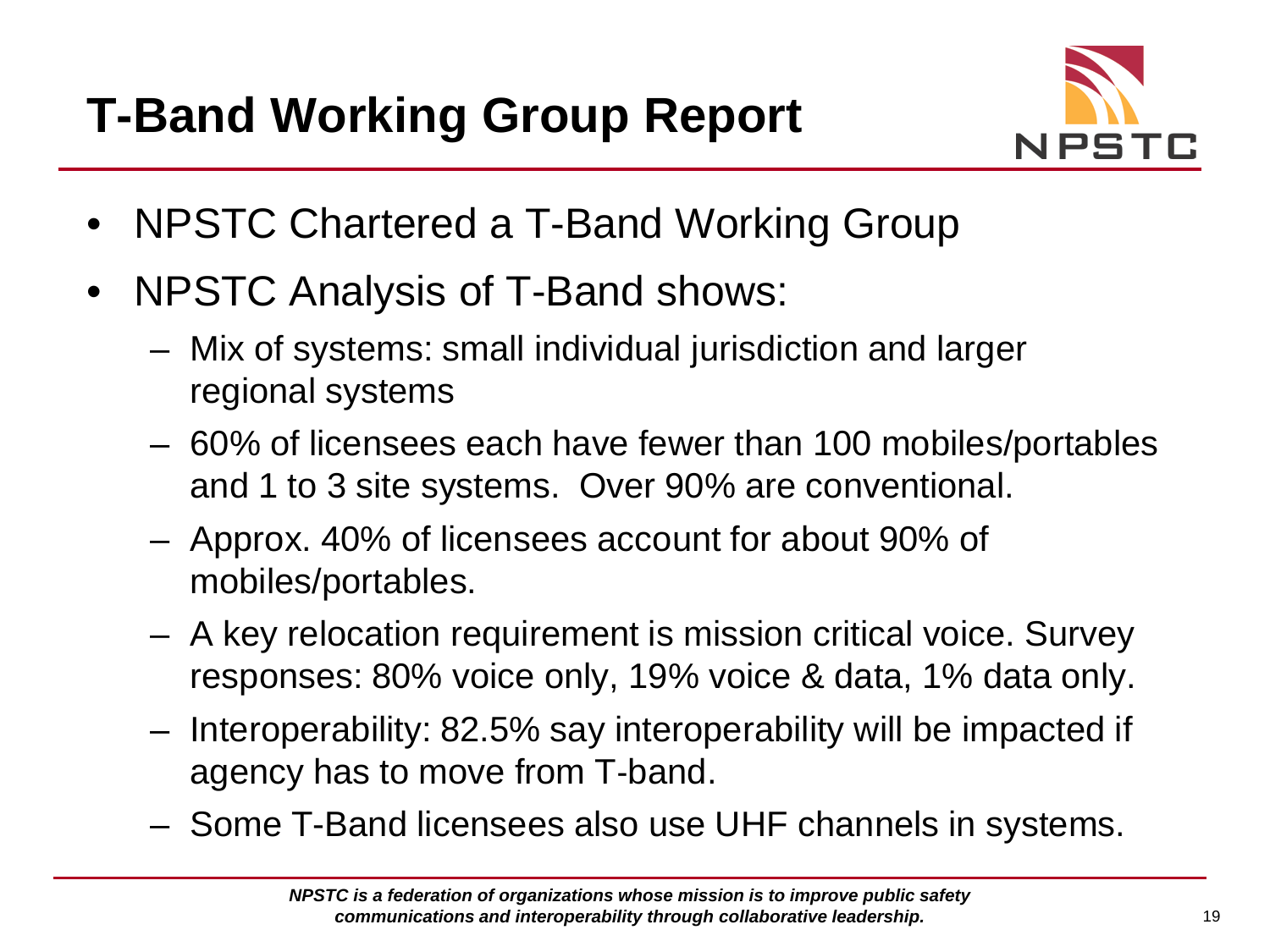

- NPSTC Chartered a T-Band Working Group
- NPSTC Analysis of T-Band shows:
	- Mix of systems: small individual jurisdiction and larger regional systems
	- 60% of licensees each have fewer than 100 mobiles/portables and 1 to 3 site systems. Over 90% are conventional.
	- Approx. 40% of licensees account for about 90% of mobiles/portables.
	- A key relocation requirement is mission critical voice. Survey responses: 80% voice only, 19% voice & data, 1% data only.
	- Interoperability: 82.5% say interoperability will be impacted if agency has to move from T‐band.
	- Some T-Band licensees also use UHF channels in systems.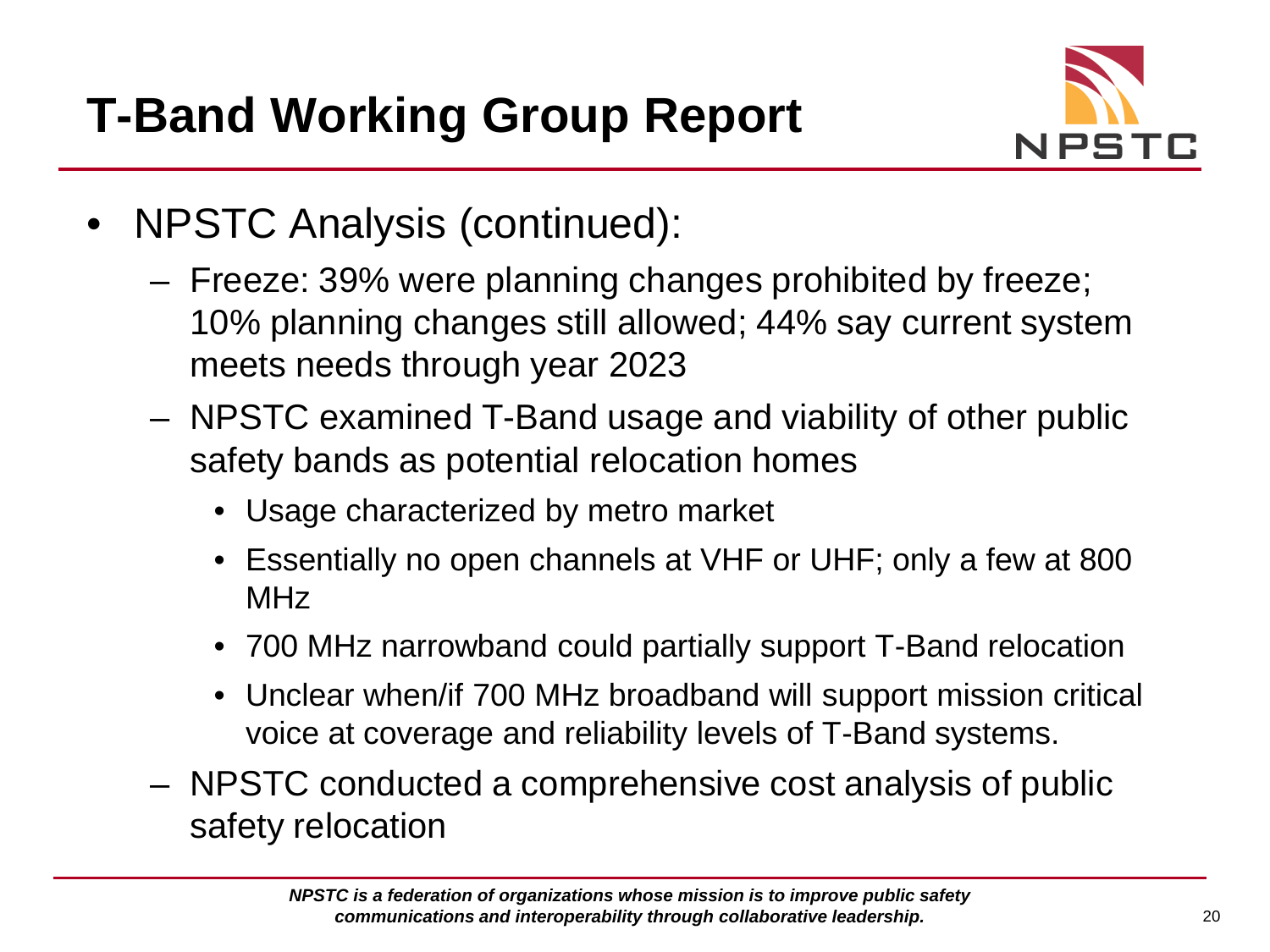

- NPSTC Analysis (continued):
	- Freeze: 39% were planning changes prohibited by freeze; 10% planning changes still allowed; 44% say current system meets needs through year 2023
	- NPSTC examined T-Band usage and viability of other public safety bands as potential relocation homes
		- Usage characterized by metro market
		- Essentially no open channels at VHF or UHF; only a few at 800 MHz
		- 700 MHz narrowband could partially support T-Band relocation
		- Unclear when/if 700 MHz broadband will support mission critical voice at coverage and reliability levels of T-Band systems.
	- NPSTC conducted a comprehensive cost analysis of public safety relocation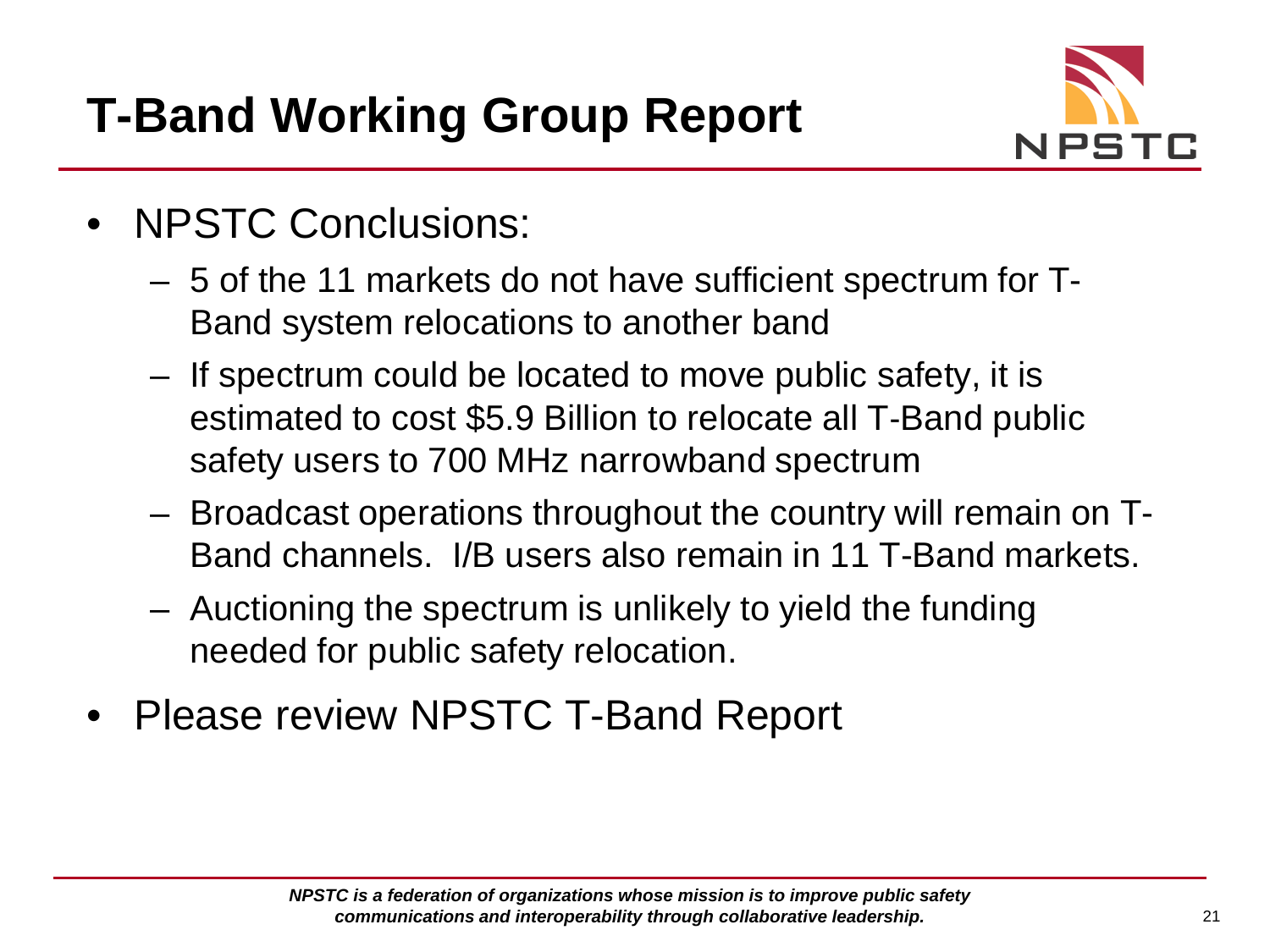

- NPSTC Conclusions:
	- 5 of the 11 markets do not have sufficient spectrum for T-Band system relocations to another band
	- If spectrum could be located to move public safety, it is estimated to cost \$5.9 Billion to relocate all T‐Band public safety users to 700 MHz narrowband spectrum
	- Broadcast operations throughout the country will remain on T-Band channels. I/B users also remain in 11 T-Band markets.
	- Auctioning the spectrum is unlikely to yield the funding needed for public safety relocation.
- Please review NPSTC T-Band Report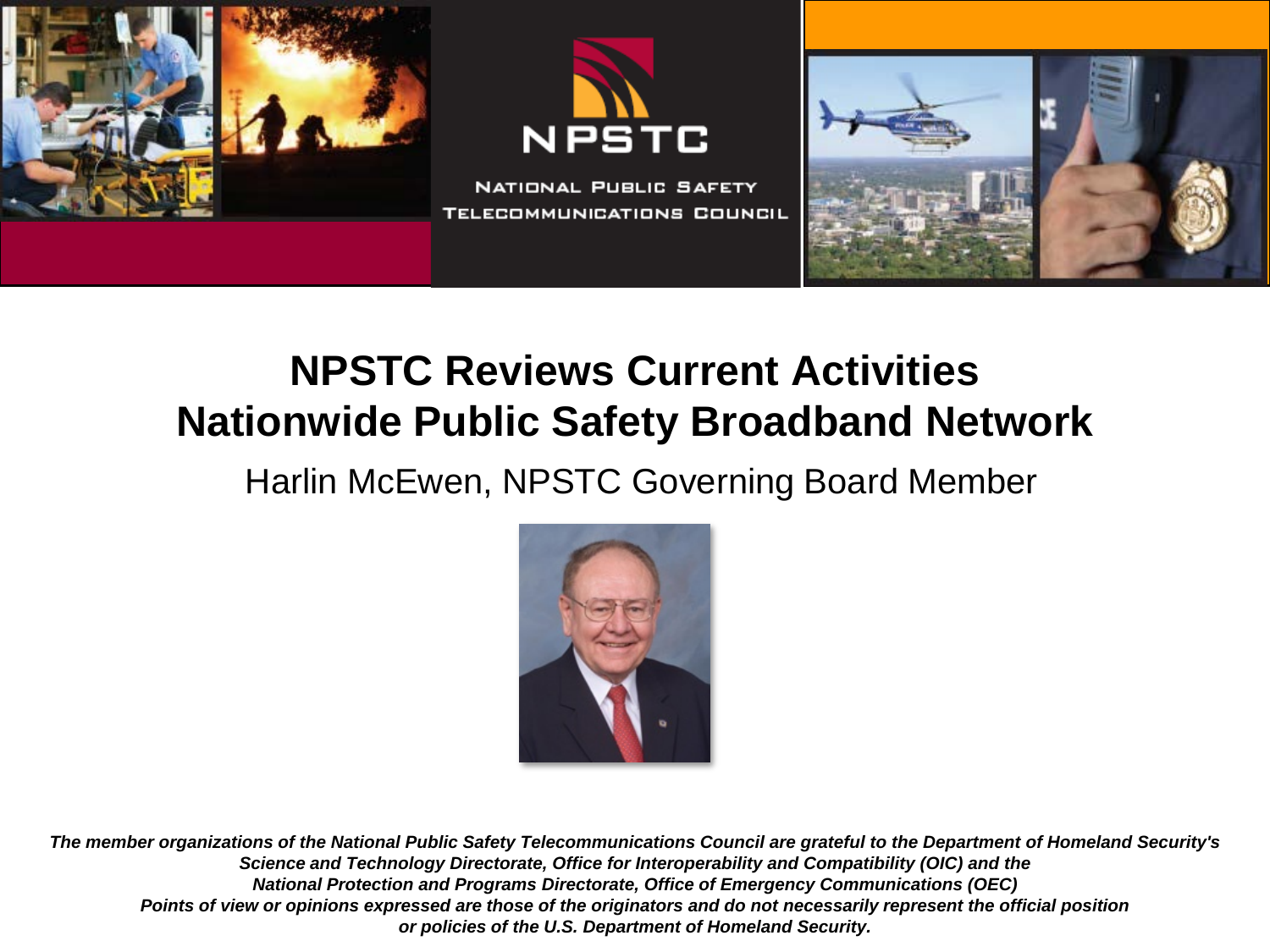

## **NPSTC Reviews Current Activities Nationwide Public Safety Broadband Network**

#### Harlin McEwen, NPSTC Governing Board Member

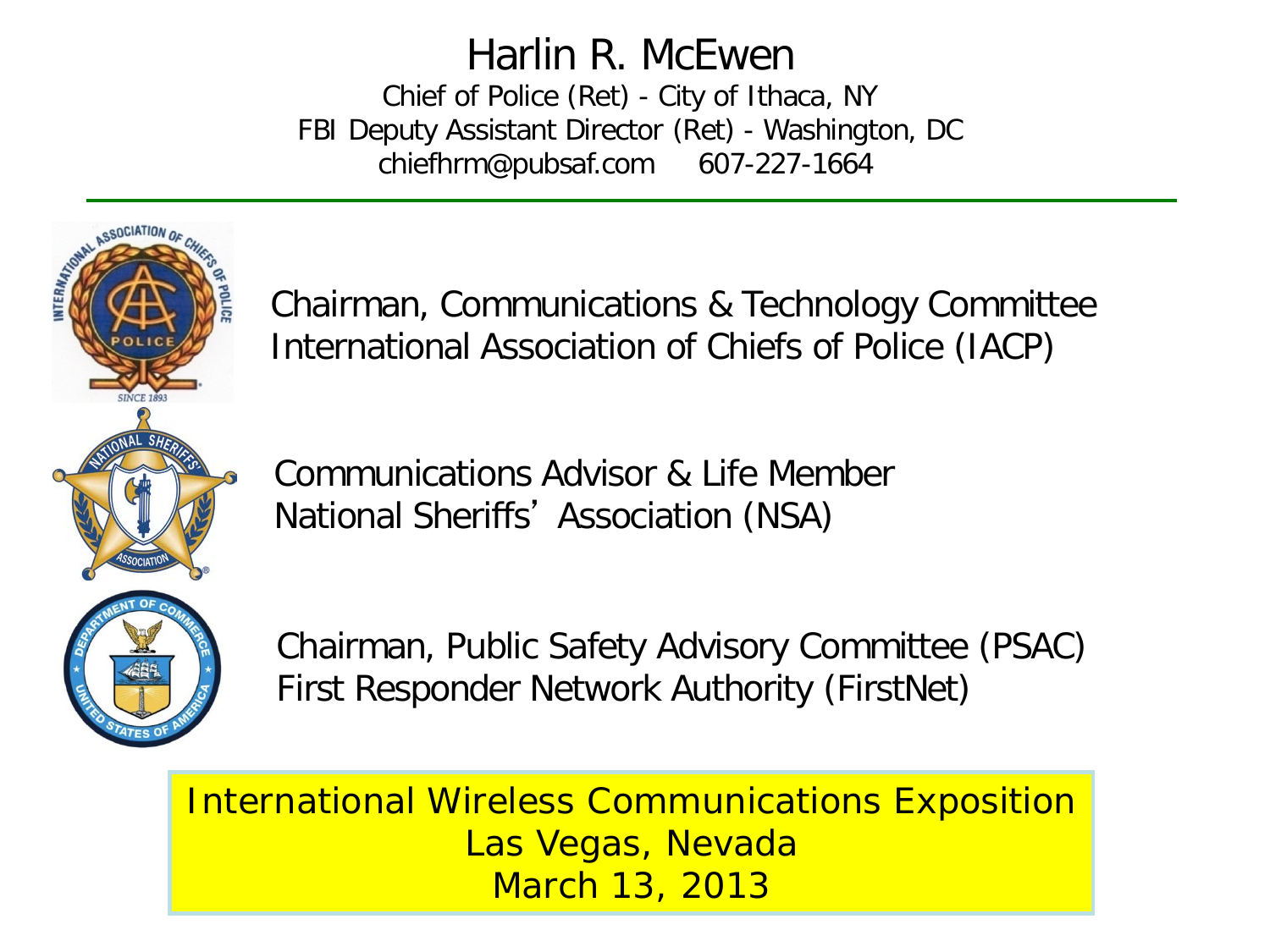#### Harlin R. McEwen

Chief of Police (Ret) - City of Ithaca, NY FBI Deputy Assistant Director (Ret) - Washington, DC chiefhrm@pubsaf.com 607-227-1664



Chairman, Communications & Technology Committee International Association of Chiefs of Police (IACP)

Communications Advisor & Life Member National Sheriffs' Association (NSA)

Chairman, Public Safety Advisory Committee (PSAC) First Responder Network Authority (FirstNet)

International Wireless Communications Exposition Las Vegas, Nevada March 13, 2013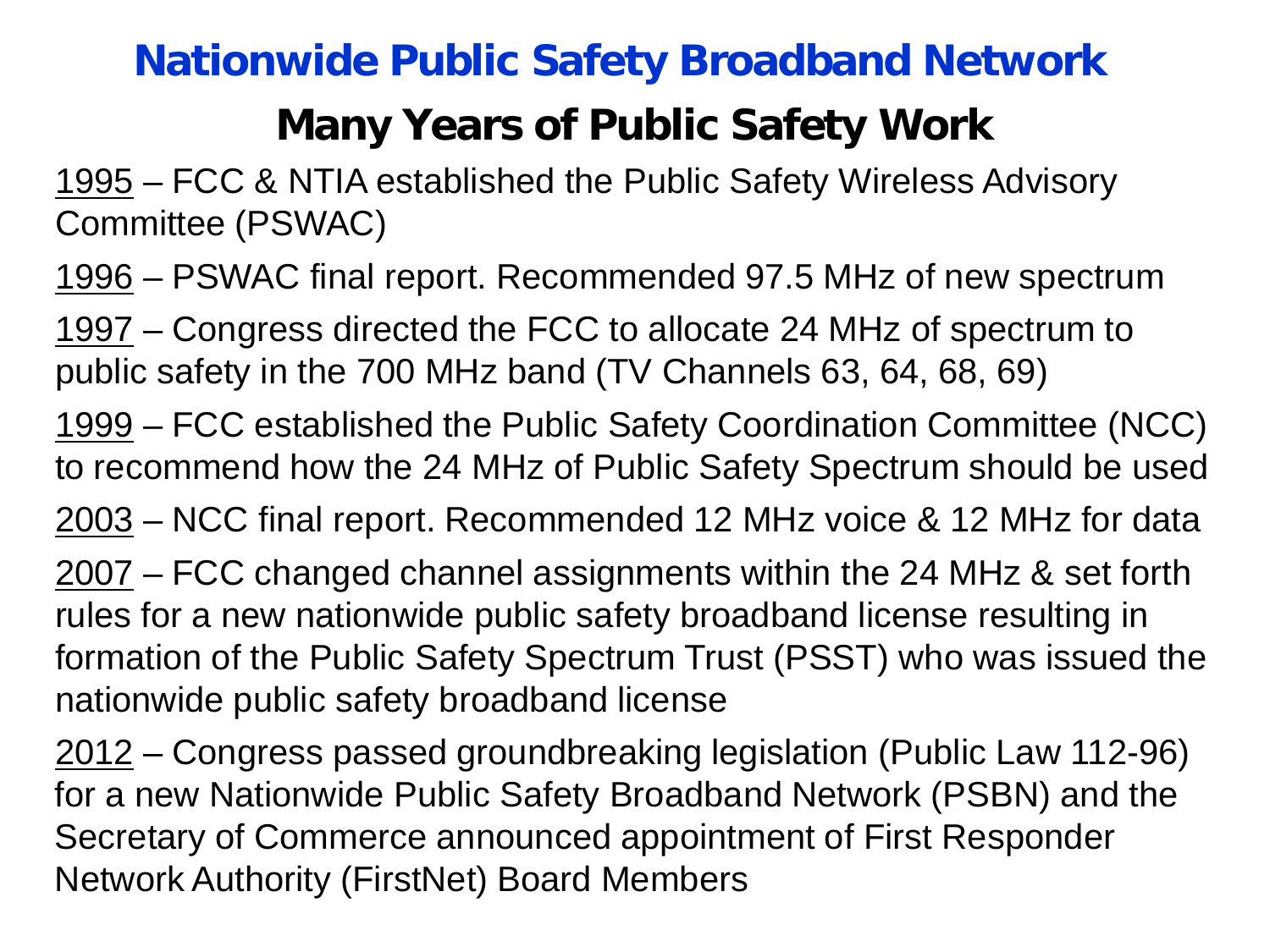#### **Nationwide Public Safety Broadband Network**

## **Many Years of Public Safety Work**

1995 – FCC & NTIA established the Public Safety Wireless Advisory Committee (PSWAC)

1996 – PSWAC final report. Recommended 97.5 MHz of new spectrum

1997 – Congress directed the FCC to allocate 24 MHz of spectrum to public safety in the 700 MHz band (TV Channels 63, 64, 68, 69)

1999 – FCC established the Public Safety Coordination Committee (NCC) to recommend how the 24 MHz of Public Safety Spectrum should be used

2003 – NCC final report. Recommended 12 MHz voice & 12 MHz for data

2007 – FCC changed channel assignments within the 24 MHz & set forth rules for a new nationwide public safety broadband license resulting in formation of the Public Safety Spectrum Trust (PSST) who was issued the nationwide public safety broadband license

2012 – Congress passed groundbreaking legislation (Public Law 112-96) for a new Nationwide Public Safety Broadband Network (PSBN) and the Secretary of Commerce announced appointment of First Responder Network Authority (FirstNet) Board Members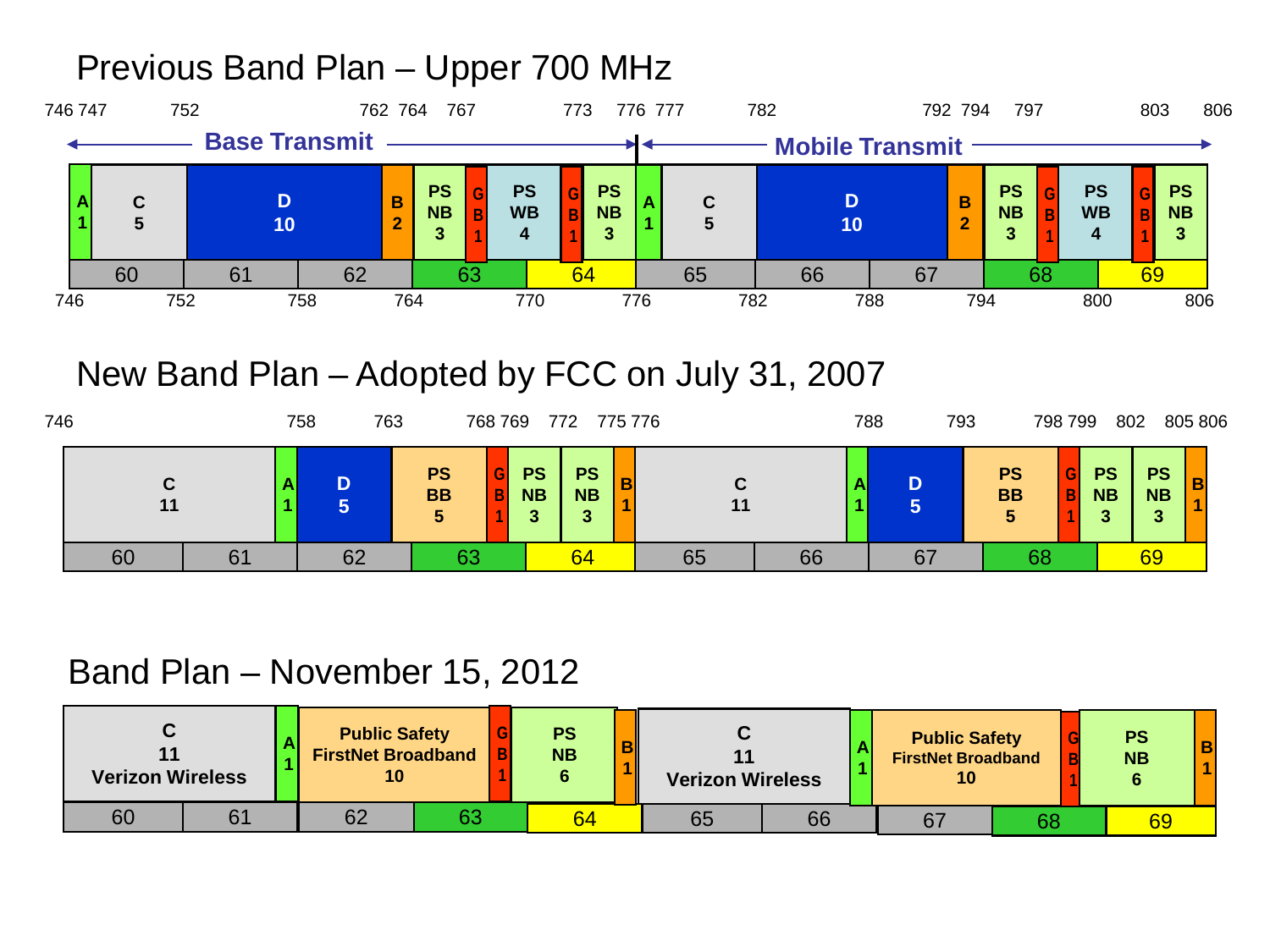#### Previous Band Plan – Upper 700 MHz



#### New Band Plan – Adopted by FCC on July 31, 2007

| 746 |         |    | 758 | 763 |                             | 768 769 | 772                         |                             |   | 775 776 |    | 788 | 793 |                                           | 798 799 |                        | 802                               | 805 806 |
|-----|---------|----|-----|-----|-----------------------------|---------|-----------------------------|-----------------------------|---|---------|----|-----|-----|-------------------------------------------|---------|------------------------|-----------------------------------|---------|
|     | C<br>11 | A  |     | D   | <b>PS</b><br><b>BB</b><br>5 |         | <b>PS</b><br><b>NB</b><br>≘ | <b>PS</b><br><b>NB</b><br>3 | в | C<br>11 |    |     |     | <b>PS</b><br><b>BB</b><br>$5\phantom{.0}$ | B       | <b>PS</b><br><b>NB</b> | <b>PS</b><br><b>NB</b><br>≏<br>۰J | B       |
|     | 60      | 61 |     | 62  | 63                          |         |                             | 64                          |   | 65      | 66 |     | 67  | 68                                        |         |                        | 69                                |         |

#### Band Plan – November 15, 2012

| <b>Verizon Wireless</b> |  | <b>Public Safety</b><br><b>FirstNet Broadband</b> |    |  | <b>PS</b><br><b>NB</b> |  | <b>Verizon Wireless</b> |  |    | <b>Public Safety</b><br><b>FirstNet Broadband</b> |    | <b>PS</b><br><b>NB</b> |  |
|-------------------------|--|---------------------------------------------------|----|--|------------------------|--|-------------------------|--|----|---------------------------------------------------|----|------------------------|--|
| 60                      |  | 62                                                | 63 |  | 64                     |  | 66<br>65                |  | 67 |                                                   | 68 |                        |  |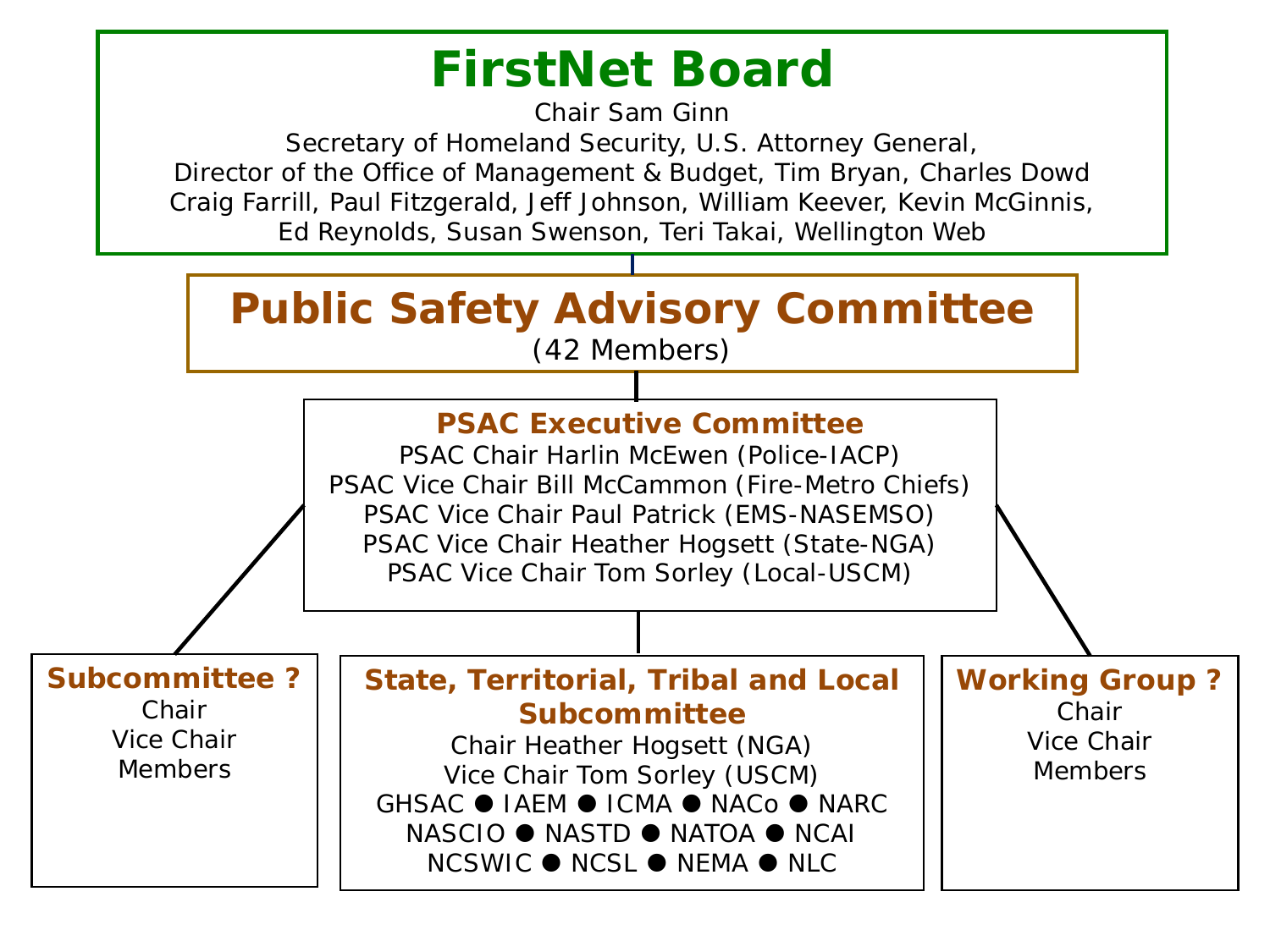## **FirstNet Board**

Chair Sam Ginn

Secretary of Homeland Security, U.S. Attorney General, Director of the Office of Management & Budget, Tim Bryan, Charles Dowd Craig Farrill, Paul Fitzgerald, Jeff Johnson, William Keever, Kevin McGinnis, Ed Reynolds, Susan Swenson, Teri Takai, Wellington Web

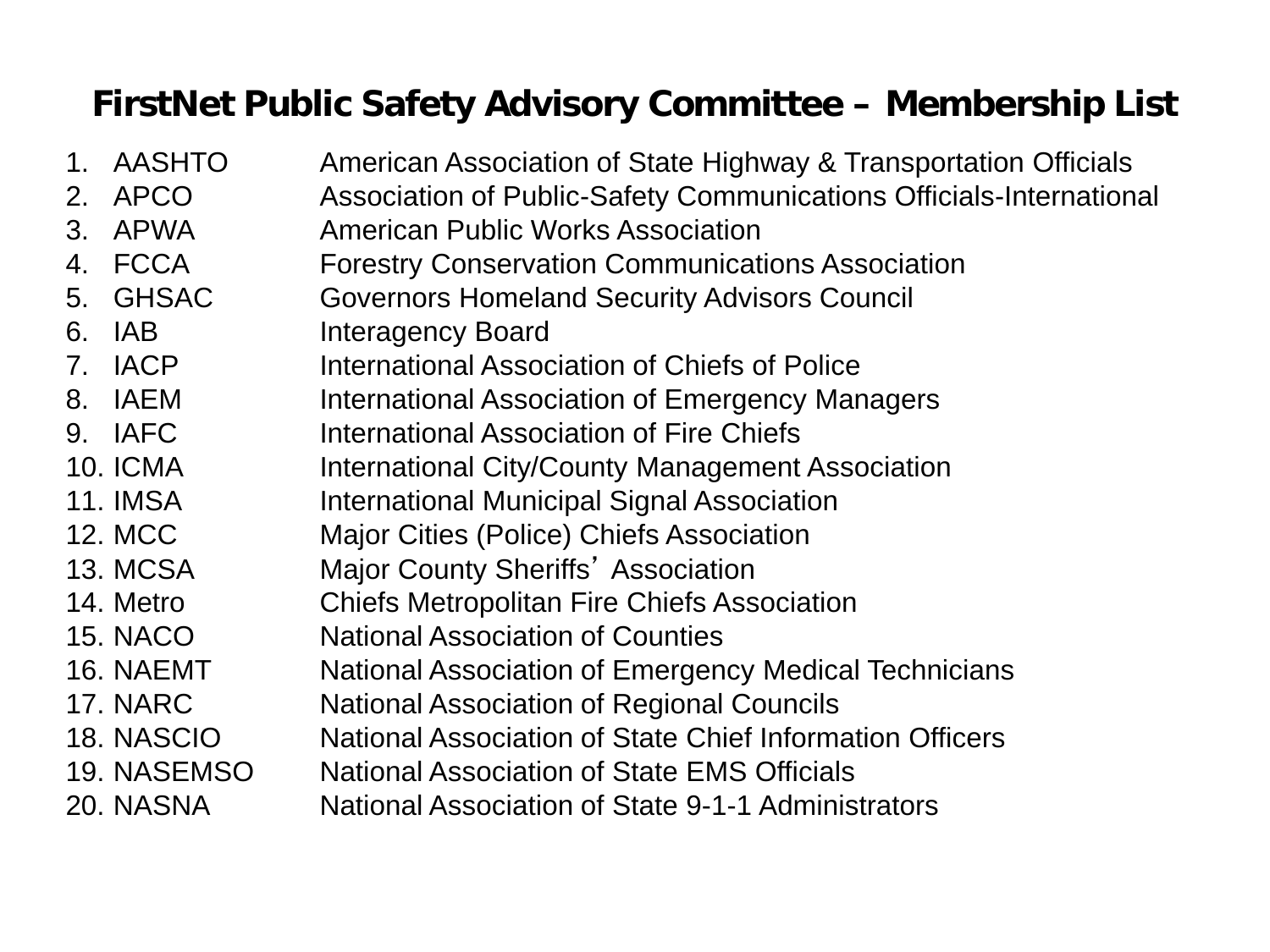#### **FirstNet Public Safety Advisory Committee – Membership List**

1. AASHTO American Association of State Highway & Transportation Officials 2. APCO Association of Public-Safety Communications Officials-International 3. APWA American Public Works Association 4. FCCA Forestry Conservation Communications Association 5. GHSAC Governors Homeland Security Advisors Council 6. IAB Interagency Board 7. IACP International Association of Chiefs of Police 8. IAEM International Association of Emergency Managers 9. IAFC International Association of Fire Chiefs 10. ICMA International City/County Management Association 11. IMSA International Municipal Signal Association 12. MCC Major Cities (Police) Chiefs Association 13. MCSA Major County Sheriffs' Association 14. Metro Chiefs Metropolitan Fire Chiefs Association 15. NACO National Association of Counties 16. NAEMT National Association of Emergency Medical Technicians 17. NARC National Association of Regional Councils 18. NASCIO National Association of State Chief Information Officers 19. NASEMSO National Association of State EMS Officials 20. NASNA National Association of State 9-1-1 Administrators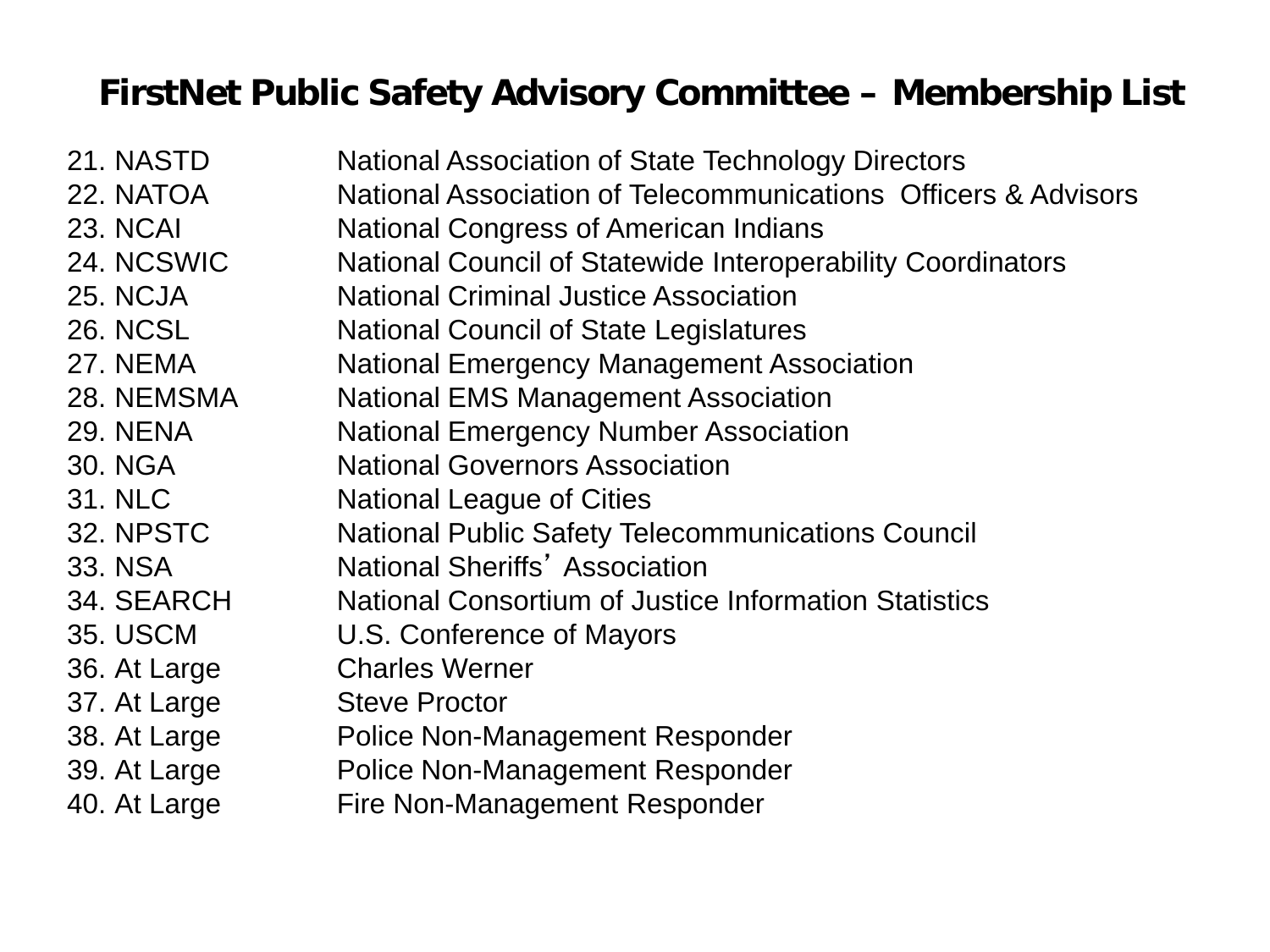#### **FirstNet Public Safety Advisory Committee – Membership List**

| 21. NASTD       | <b>National Association of State Technology Directors</b>      |
|-----------------|----------------------------------------------------------------|
| 22. NATOA       | National Association of Telecommunications Officers & Advisors |
| <b>23. NCAI</b> | <b>National Congress of American Indians</b>                   |
| 24. NCSWIC      | National Council of Statewide Interoperability Coordinators    |
| <b>25. NCJA</b> | <b>National Criminal Justice Association</b>                   |
| <b>26. NCSL</b> | <b>National Council of State Legislatures</b>                  |
| <b>27. NEMA</b> | <b>National Emergency Management Association</b>               |
| 28. NEMSMA      | <b>National EMS Management Association</b>                     |
| <b>29. NENA</b> | <b>National Emergency Number Association</b>                   |
| 30. NGA         | <b>National Governors Association</b>                          |
| <b>31. NLC</b>  | National League of Cities                                      |
| 32. NPSTC       | <b>National Public Safety Telecommunications Council</b>       |
| 33. NSA         | <b>National Sheriffs' Association</b>                          |
| 34. SEARCH      | <b>National Consortium of Justice Information Statistics</b>   |
| <b>35. USCM</b> | U.S. Conference of Mayors                                      |
| 36. At Large    | <b>Charles Werner</b>                                          |
| 37. At Large    | <b>Steve Proctor</b>                                           |
| 38. At Large    | Police Non-Management Responder                                |
| 39. At Large    | Police Non-Management Responder                                |
| 40. At Large    | Fire Non-Management Responder                                  |
|                 |                                                                |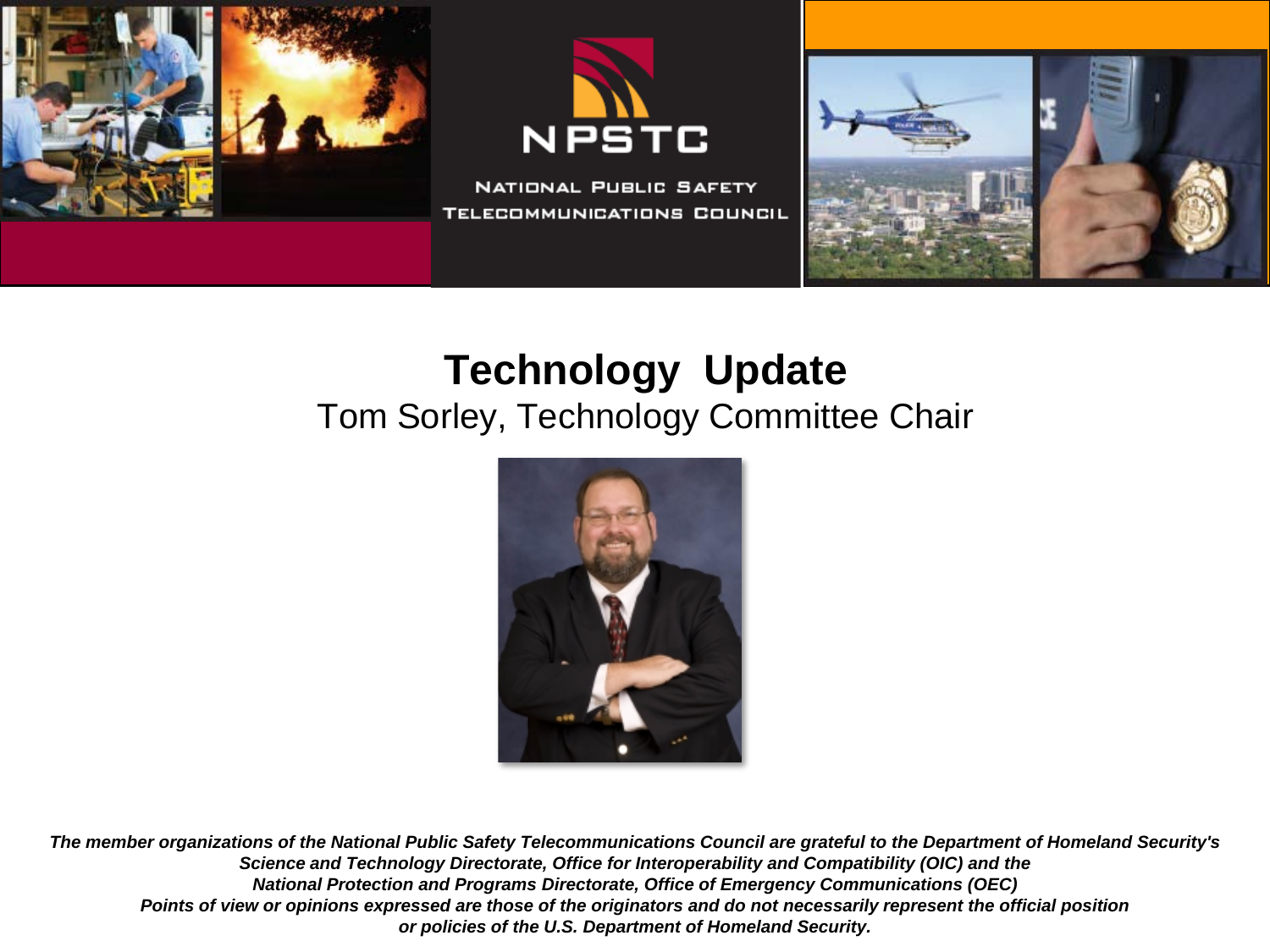





## **Technology Update**

#### Tom Sorley, Technology Committee Chair

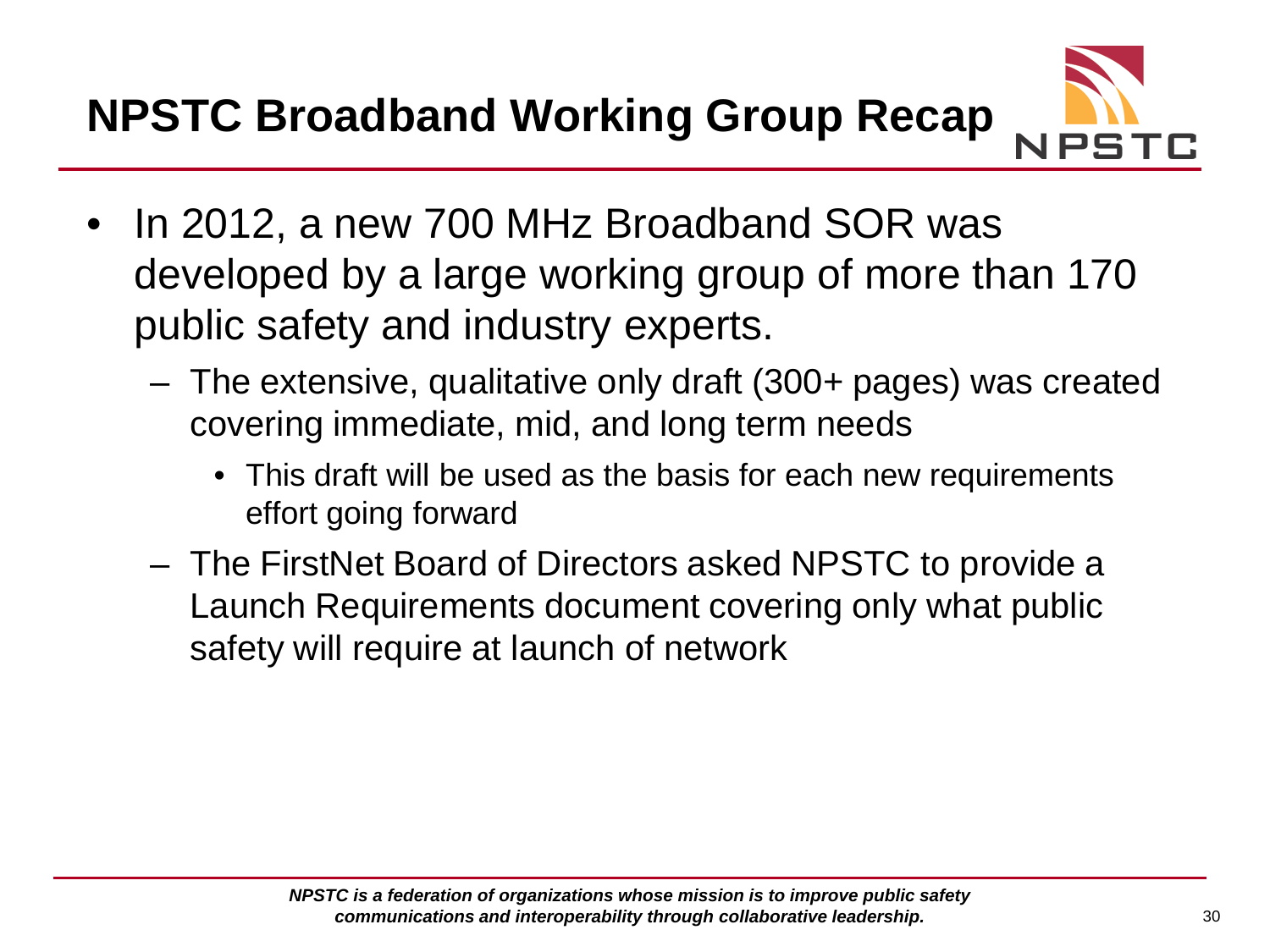**NPSTC Broadband Working Group Recap**



- In 2012, a new 700 MHz Broadband SOR was developed by a large working group of more than 170 public safety and industry experts.
	- The extensive, qualitative only draft (300+ pages) was created covering immediate, mid, and long term needs
		- This draft will be used as the basis for each new requirements effort going forward
	- The FirstNet Board of Directors asked NPSTC to provide a Launch Requirements document covering only what public safety will require at launch of network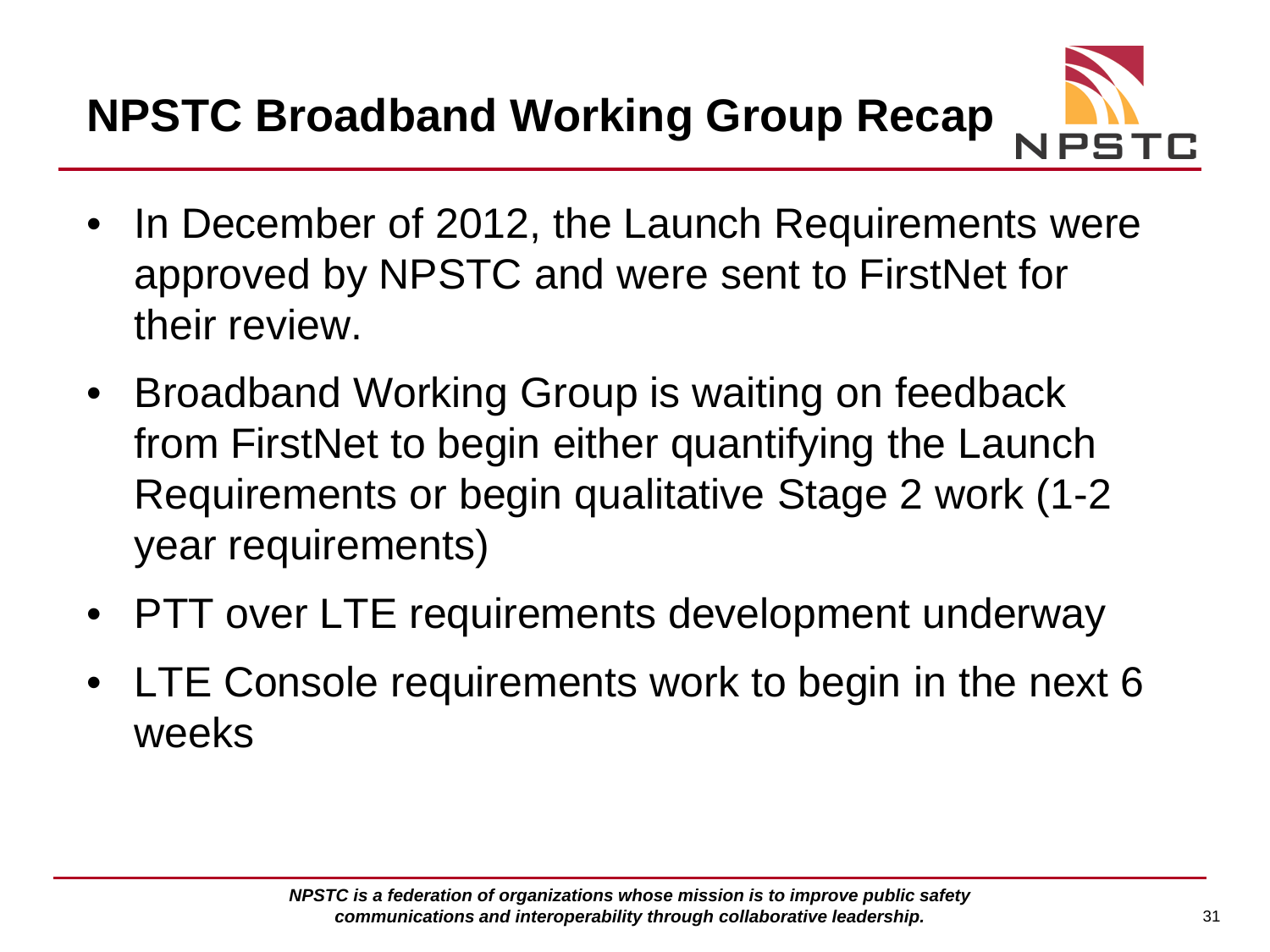**NPSTC Broadband Working Group Recap**



- In December of 2012, the Launch Requirements were approved by NPSTC and were sent to FirstNet for their review.
- Broadband Working Group is waiting on feedback from FirstNet to begin either quantifying the Launch Requirements or begin qualitative Stage 2 work (1-2 year requirements)
- PTT over LTE requirements development underway
- LTE Console requirements work to begin in the next 6 weeks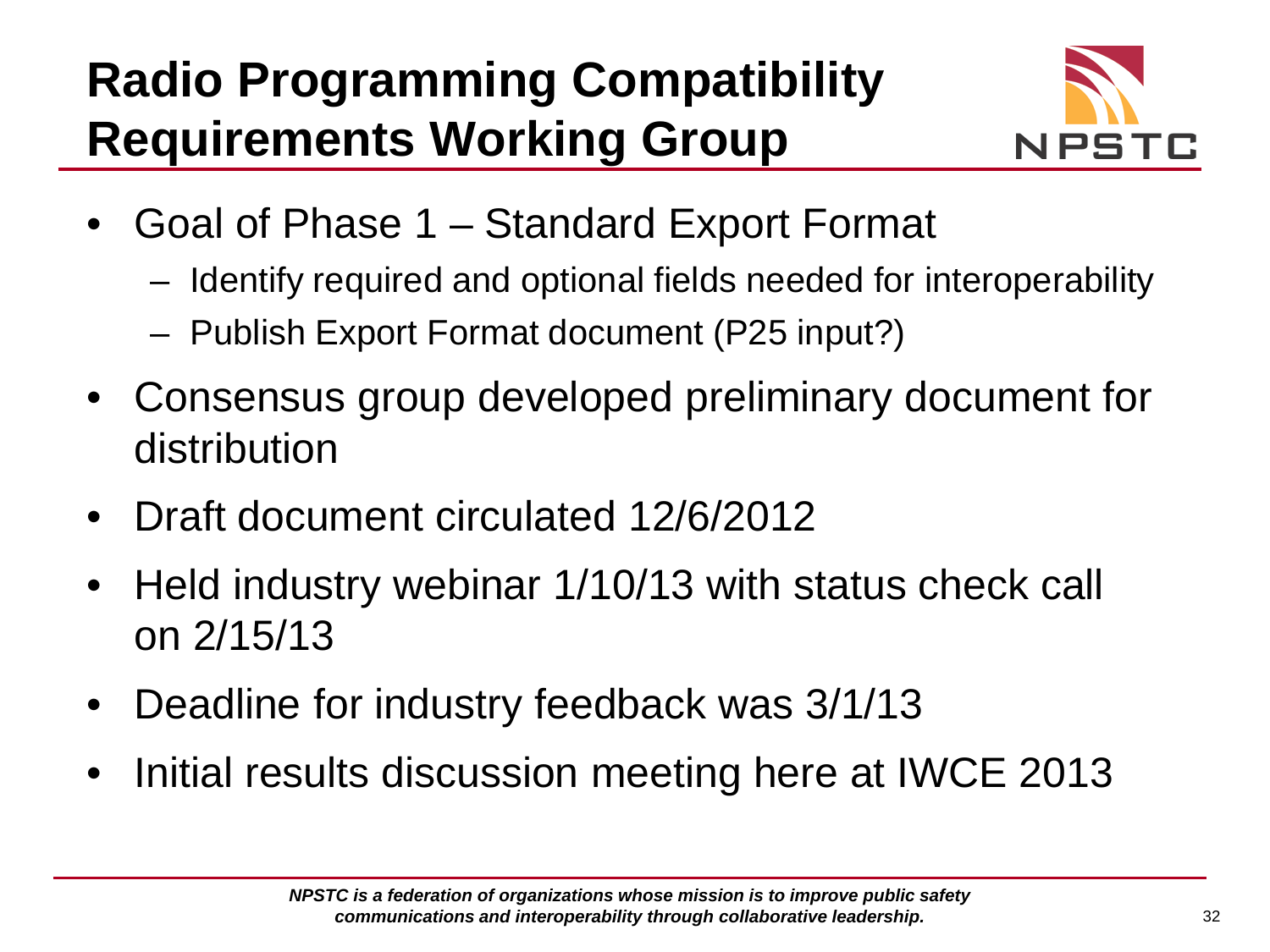# **Radio Programming Compatibility Requirements Working Group**



- Goal of Phase 1 Standard Export Format
	- Identify required and optional fields needed for interoperability
	- Publish Export Format document (P25 input?)
- Consensus group developed preliminary document for distribution
- Draft document circulated 12/6/2012
- Held industry webinar 1/10/13 with status check call on 2/15/13
- Deadline for industry feedback was 3/1/13
- Initial results discussion meeting here at IWCE 2013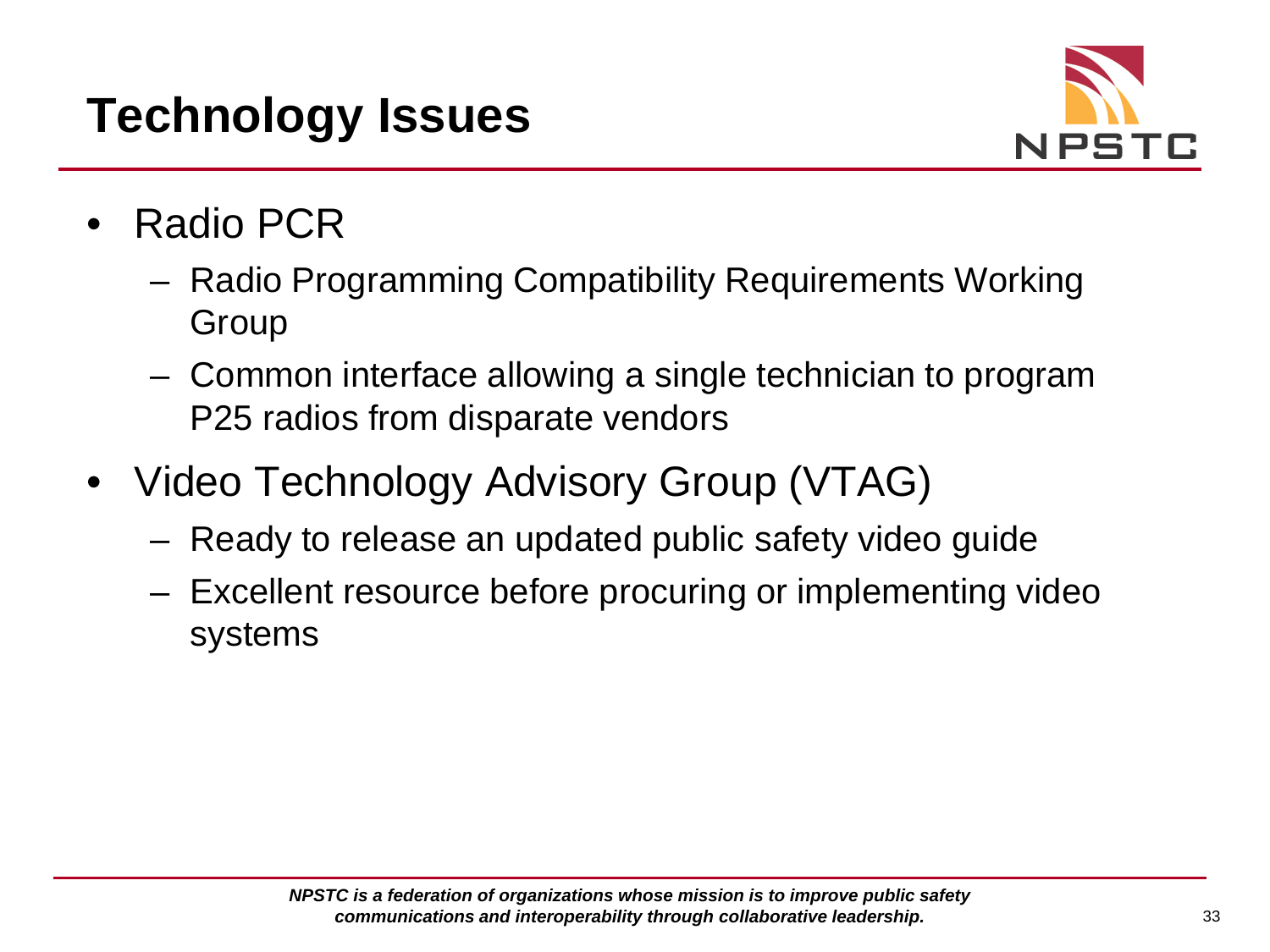# **Technology Issues**



- Radio PCR
	- Radio Programming Compatibility Requirements Working Group
	- Common interface allowing a single technician to program P25 radios from disparate vendors
- Video Technology Advisory Group (VTAG)
	- Ready to release an updated public safety video guide
	- Excellent resource before procuring or implementing video systems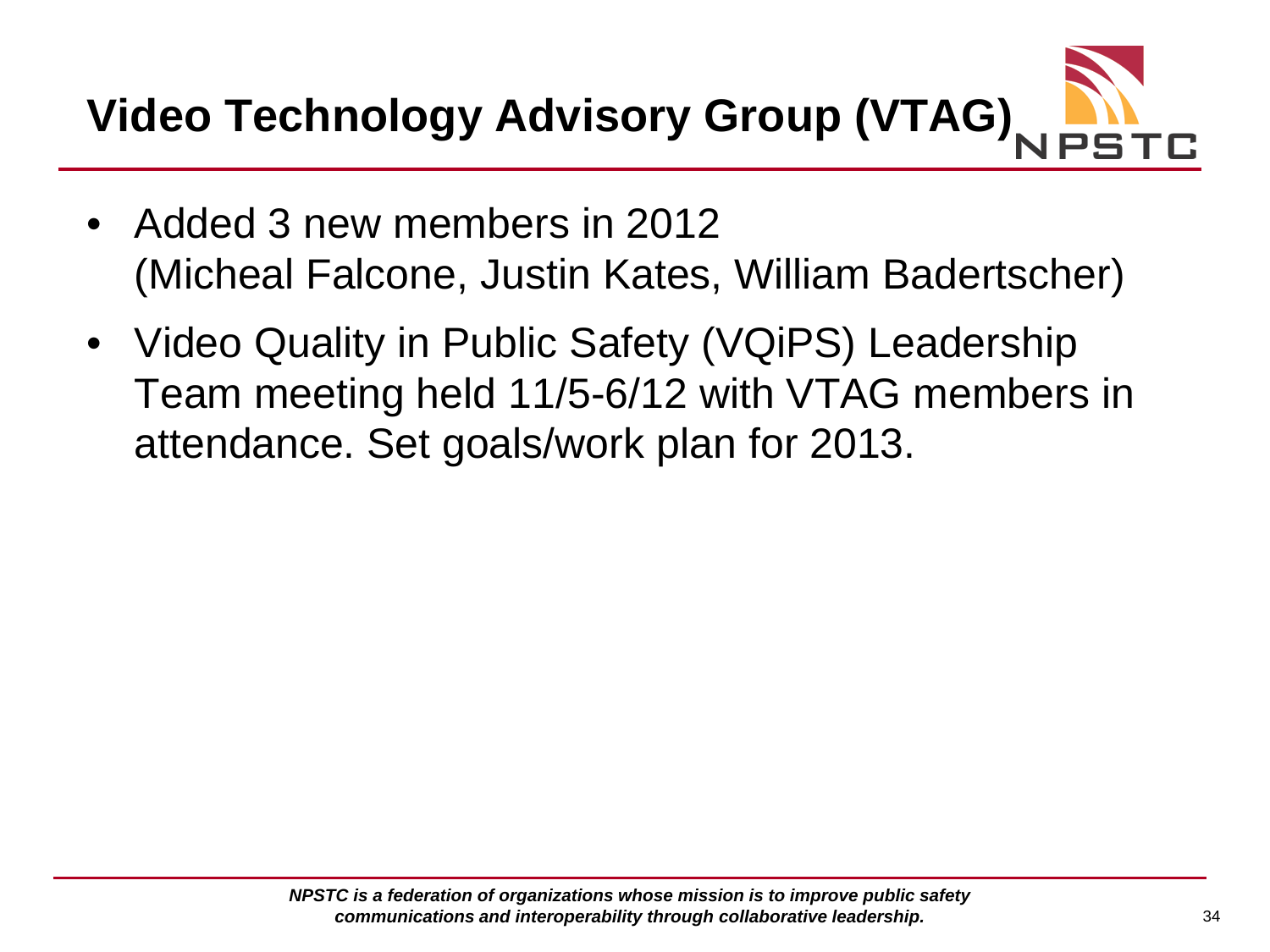**Video Technology Advisory Group (VTAG)**

- Added 3 new members in 2012 (Micheal Falcone, Justin Kates, William Badertscher)
- Video Quality in Public Safety (VQiPS) Leadership Team meeting held 11/5-6/12 with VTAG members in attendance. Set goals/work plan for 2013.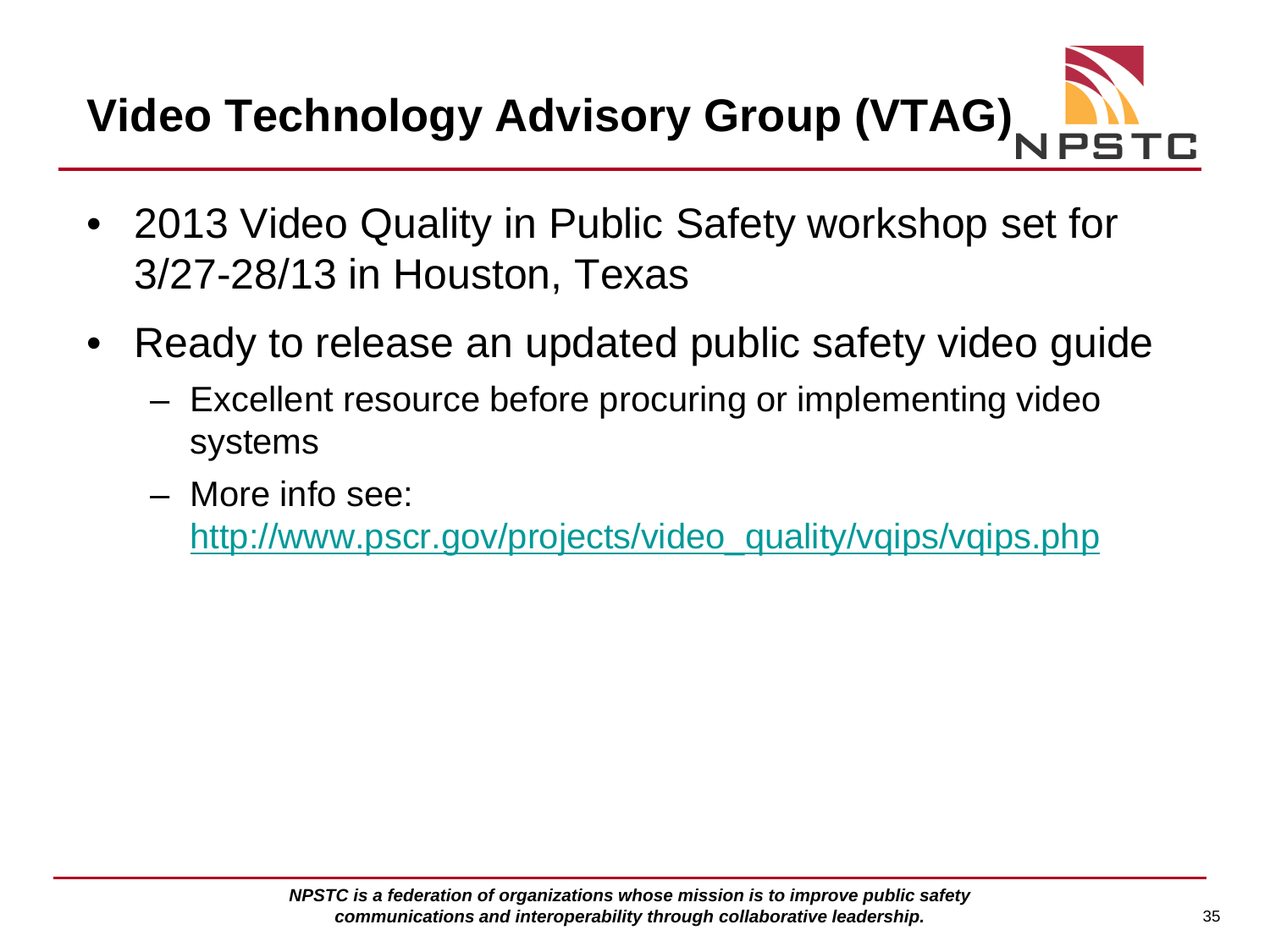# **Video Technology Advisory Group (VTAG)**

- 2013 Video Quality in Public Safety workshop set for 3/27-28/13 in Houston, Texas
- Ready to release an updated public safety video guide
	- Excellent resource before procuring or implementing video systems
	- More info see:

[http://www.pscr.gov/projects/video\\_quality/vqips/vqips.php](http://www.pscr.gov/projects/video_quality/vqips/vqips.php)